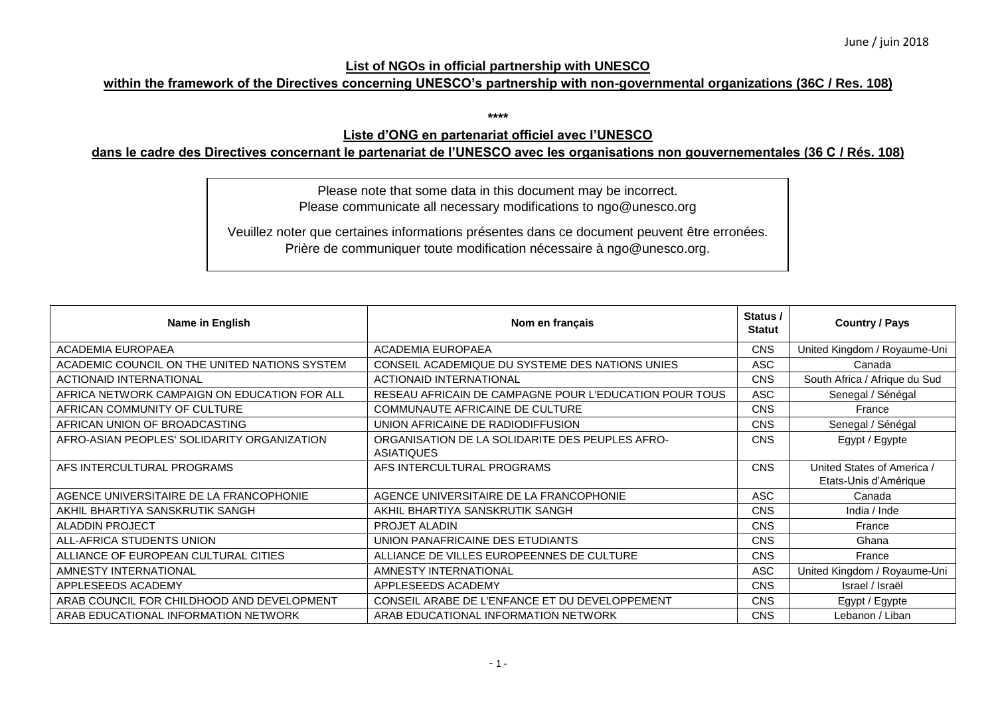## **List of NGOs in official partnership with UNESCO**

## **within the framework of the Directives concerning UNESCO's partnership with non-governmental organizations (36C / Res. 108)**

**\*\*\*\***

## **Liste d'ONG en partenariat officiel avec l'UNESCO**

## **dans le cadre des Directives concernant le partenariat de l'UNESCO avec les organisations non gouvernementales (36 C / Rés. 108)**

Please note that some data in this document may be incorrect. Please communicate all necessary modifications to ngo@unesco.org

Veuillez noter que certaines informations présentes dans ce document peuvent être erronées. Prière de communiquer toute modification nécessaire à ngo@unesco.org.

| Name in English                               | Nom en français                                                      | Status /<br><b>Statut</b> | <b>Country / Pays</b>                               |
|-----------------------------------------------|----------------------------------------------------------------------|---------------------------|-----------------------------------------------------|
| <b>ACADEMIA EUROPAEA</b>                      | <b>ACADEMIA EUROPAEA</b>                                             | <b>CNS</b>                | United Kingdom / Royaume-Uni                        |
| ACADEMIC COUNCIL ON THE UNITED NATIONS SYSTEM | CONSEIL ACADEMIQUE DU SYSTEME DES NATIONS UNIES                      | ASC                       | Canada                                              |
| <b>ACTIONAID INTERNATIONAL</b>                | <b>ACTIONAID INTERNATIONAL</b>                                       | <b>CNS</b>                | South Africa / Afrique du Sud                       |
| AFRICA NETWORK CAMPAIGN ON EDUCATION FOR ALL  | RESEAU AFRICAIN DE CAMPAGNE POUR L'EDUCATION POUR TOUS               | <b>ASC</b>                | Senegal / Sénégal                                   |
| AFRICAN COMMUNITY OF CULTURE                  | COMMUNAUTE AFRICAINE DE CULTURE                                      | <b>CNS</b>                | France                                              |
| AFRICAN UNION OF BROADCASTING                 | UNION AFRICAINE DE RADIODIFFUSION                                    | <b>CNS</b>                | Senegal / Sénégal                                   |
| AFRO-ASIAN PEOPLES' SOLIDARITY ORGANIZATION   | ORGANISATION DE LA SOLIDARITE DES PEUPLES AFRO-<br><b>ASIATIQUES</b> | <b>CNS</b>                | Egypt / Egypte                                      |
| AFS INTERCULTURAL PROGRAMS                    | AFS INTERCULTURAL PROGRAMS                                           | <b>CNS</b>                | United States of America /<br>Etats-Unis d'Amérique |
| AGENCE UNIVERSITAIRE DE LA FRANCOPHONIE       | AGENCE UNIVERSITAIRE DE LA FRANCOPHONIE                              | <b>ASC</b>                | Canada                                              |
| AKHIL BHARTIYA SANSKRUTIK SANGH               | AKHIL BHARTIYA SANSKRUTIK SANGH                                      | <b>CNS</b>                | India / Inde                                        |
| <b>ALADDIN PROJECT</b>                        | <b>PROJET ALADIN</b>                                                 | <b>CNS</b>                | France                                              |
| ALL-AFRICA STUDENTS UNION                     | UNION PANAFRICAINE DES ETUDIANTS                                     | <b>CNS</b>                | Ghana                                               |
| ALLIANCE OF EUROPEAN CULTURAL CITIES          | ALLIANCE DE VILLES EUROPEENNES DE CULTURE                            | <b>CNS</b>                | France                                              |
| AMNESTY INTERNATIONAL                         | AMNESTY INTERNATIONAL                                                | <b>ASC</b>                | United Kingdom / Royaume-Uni                        |
| APPLESEEDS ACADEMY                            | APPLESEEDS ACADEMY                                                   | <b>CNS</b>                | Israel / Israël                                     |
| ARAB COUNCIL FOR CHILDHOOD AND DEVELOPMENT    | CONSEIL ARABE DE L'ENFANCE ET DU DEVELOPPEMENT                       | <b>CNS</b>                | Egypt / Egypte                                      |
| ARAB EDUCATIONAL INFORMATION NETWORK          | ARAB EDUCATIONAL INFORMATION NETWORK                                 | <b>CNS</b>                | Lebanon / Liban                                     |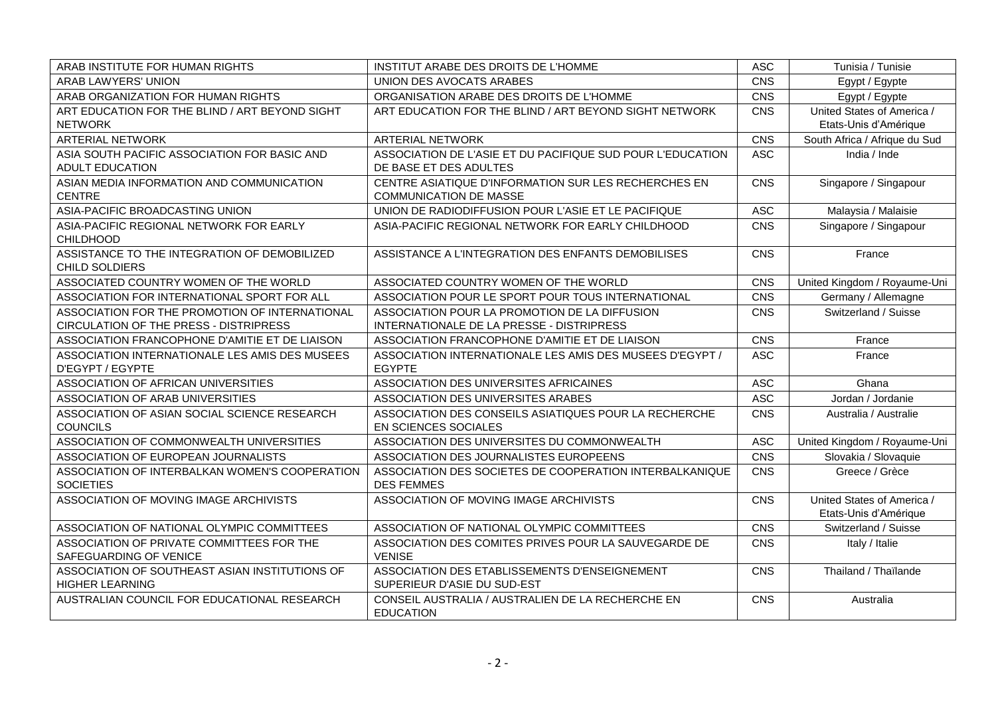| ARAB INSTITUTE FOR HUMAN RIGHTS                                          | INSTITUT ARABE DES DROITS DE L'HOMME                                                  | <b>ASC</b> | Tunisia / Tunisie                                   |
|--------------------------------------------------------------------------|---------------------------------------------------------------------------------------|------------|-----------------------------------------------------|
| ARAB LAWYERS' UNION                                                      | UNION DES AVOCATS ARABES                                                              | CNS        | Egypt / Egypte                                      |
| ARAB ORGANIZATION FOR HUMAN RIGHTS                                       | ORGANISATION ARABE DES DROITS DE L'HOMME                                              | CNS        | Egypt / Egypte                                      |
| ART EDUCATION FOR THE BLIND / ART BEYOND SIGHT<br><b>NETWORK</b>         | ART EDUCATION FOR THE BLIND / ART BEYOND SIGHT NETWORK                                | CNS        | United States of America /<br>Etats-Unis d'Amérique |
| <b>ARTERIAL NETWORK</b>                                                  | <b>ARTERIAL NETWORK</b>                                                               | CNS        | South Africa / Afrique du Sud                       |
| ASIA SOUTH PACIFIC ASSOCIATION FOR BASIC AND<br><b>ADULT EDUCATION</b>   | ASSOCIATION DE L'ASIE ET DU PACIFIQUE SUD POUR L'EDUCATION<br>DE BASE ET DES ADULTES  | <b>ASC</b> | India / Inde                                        |
| ASIAN MEDIA INFORMATION AND COMMUNICATION<br><b>CENTRE</b>               | CENTRE ASIATIQUE D'INFORMATION SUR LES RECHERCHES EN<br><b>COMMUNICATION DE MASSE</b> | CNS        | Singapore / Singapour                               |
| ASIA-PACIFIC BROADCASTING UNION                                          | UNION DE RADIODIFFUSION POUR L'ASIE ET LE PACIFIQUE                                   | <b>ASC</b> | Malaysia / Malaisie                                 |
| ASIA-PACIFIC REGIONAL NETWORK FOR EARLY<br><b>CHILDHOOD</b>              | ASIA-PACIFIC REGIONAL NETWORK FOR EARLY CHILDHOOD                                     | <b>CNS</b> | Singapore / Singapour                               |
| ASSISTANCE TO THE INTEGRATION OF DEMOBILIZED<br><b>CHILD SOLDIERS</b>    | ASSISTANCE A L'INTEGRATION DES ENFANTS DEMOBILISES                                    | CNS        | France                                              |
| ASSOCIATED COUNTRY WOMEN OF THE WORLD                                    | ASSOCIATED COUNTRY WOMEN OF THE WORLD                                                 | CNS        | United Kingdom / Royaume-Uni                        |
| ASSOCIATION FOR INTERNATIONAL SPORT FOR ALL                              | ASSOCIATION POUR LE SPORT POUR TOUS INTERNATIONAL                                     | CNS        | Germany / Allemagne                                 |
| ASSOCIATION FOR THE PROMOTION OF INTERNATIONAL                           | ASSOCIATION POUR LA PROMOTION DE LA DIFFUSION                                         | CNS        | Switzerland / Suisse                                |
| CIRCULATION OF THE PRESS - DISTRIPRESS                                   | INTERNATIONALE DE LA PRESSE - DISTRIPRESS                                             |            |                                                     |
| ASSOCIATION FRANCOPHONE D'AMITIE ET DE LIAISON                           | ASSOCIATION FRANCOPHONE D'AMITIE ET DE LIAISON                                        | CNS        | France                                              |
| ASSOCIATION INTERNATIONALE LES AMIS DES MUSEES<br>D'EGYPT / EGYPTE       | ASSOCIATION INTERNATIONALE LES AMIS DES MUSEES D'EGYPT /<br><b>EGYPTE</b>             | <b>ASC</b> | France                                              |
| ASSOCIATION OF AFRICAN UNIVERSITIES                                      | ASSOCIATION DES UNIVERSITES AFRICAINES                                                | <b>ASC</b> | Ghana                                               |
| ASSOCIATION OF ARAB UNIVERSITIES                                         | ASSOCIATION DES UNIVERSITES ARABES                                                    | <b>ASC</b> | Jordan / Jordanie                                   |
| ASSOCIATION OF ASIAN SOCIAL SCIENCE RESEARCH<br><b>COUNCILS</b>          | ASSOCIATION DES CONSEILS ASIATIQUES POUR LA RECHERCHE<br>EN SCIENCES SOCIALES         | CNS        | Australia / Australie                               |
| ASSOCIATION OF COMMONWEALTH UNIVERSITIES                                 | ASSOCIATION DES UNIVERSITES DU COMMONWEALTH                                           | <b>ASC</b> | United Kingdom / Royaume-Uni                        |
| ASSOCIATION OF EUROPEAN JOURNALISTS                                      | ASSOCIATION DES JOURNALISTES EUROPEENS                                                | CNS        | Slovakia / Slovaquie                                |
| ASSOCIATION OF INTERBALKAN WOMEN'S COOPERATION<br><b>SOCIETIES</b>       | ASSOCIATION DES SOCIETES DE COOPERATION INTERBALKANIQUE<br><b>DES FEMMES</b>          | <b>CNS</b> | Greece / Grèce                                      |
| ASSOCIATION OF MOVING IMAGE ARCHIVISTS                                   | ASSOCIATION OF MOVING IMAGE ARCHIVISTS                                                | CNS        | United States of America /<br>Etats-Unis d'Amérique |
| ASSOCIATION OF NATIONAL OLYMPIC COMMITTEES                               | ASSOCIATION OF NATIONAL OLYMPIC COMMITTEES                                            | CNS        | Switzerland / Suisse                                |
| ASSOCIATION OF PRIVATE COMMITTEES FOR THE<br>SAFEGUARDING OF VENICE      | ASSOCIATION DES COMITES PRIVES POUR LA SAUVEGARDE DE<br><b>VENISE</b>                 | CNS        | Italy / Italie                                      |
| ASSOCIATION OF SOUTHEAST ASIAN INSTITUTIONS OF<br><b>HIGHER LEARNING</b> | ASSOCIATION DES ETABLISSEMENTS D'ENSEIGNEMENT<br>SUPERIEUR D'ASIE DU SUD-EST          | CNS        | Thailand / Thaïlande                                |
| AUSTRALIAN COUNCIL FOR EDUCATIONAL RESEARCH                              | CONSEIL AUSTRALIA / AUSTRALIEN DE LA RECHERCHE EN<br><b>EDUCATION</b>                 | CNS        | Australia                                           |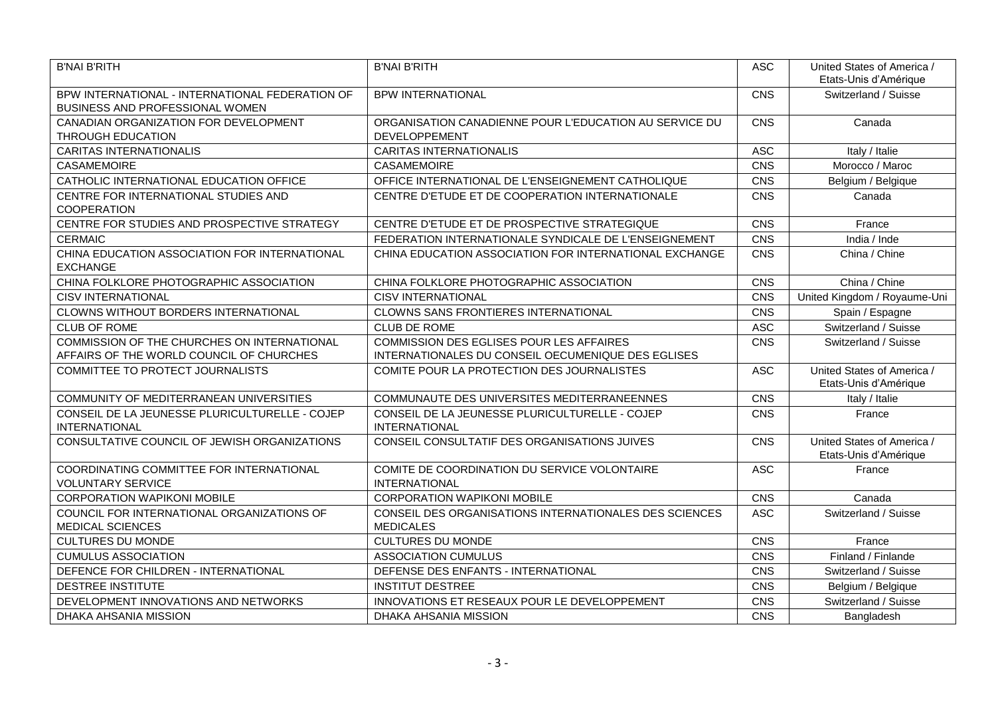| <b>B'NAI B'RITH</b>                                                                | <b>B'NAI B'RITH</b>                                                            | <b>ASC</b> | United States of America /<br>Etats-Unis d'Amérique |
|------------------------------------------------------------------------------------|--------------------------------------------------------------------------------|------------|-----------------------------------------------------|
| BPW INTERNATIONAL - INTERNATIONAL FEDERATION OF<br>BUSINESS AND PROFESSIONAL WOMEN | <b>BPW INTERNATIONAL</b>                                                       | CNS        | Switzerland / Suisse                                |
| CANADIAN ORGANIZATION FOR DEVELOPMENT<br><b>THROUGH EDUCATION</b>                  | ORGANISATION CANADIENNE POUR L'EDUCATION AU SERVICE DU<br><b>DEVELOPPEMENT</b> | CNS        | Canada                                              |
| <b>CARITAS INTERNATIONALIS</b>                                                     | <b>CARITAS INTERNATIONALIS</b>                                                 | <b>ASC</b> | Italy / Italie                                      |
| CASAMEMOIRE                                                                        | CASAMEMOIRE                                                                    | CNS        | Morocco / Maroc                                     |
| CATHOLIC INTERNATIONAL EDUCATION OFFICE                                            | OFFICE INTERNATIONAL DE L'ENSEIGNEMENT CATHOLIQUE                              | CNS        | Belgium / Belgique                                  |
| CENTRE FOR INTERNATIONAL STUDIES AND<br><b>COOPERATION</b>                         | CENTRE D'ETUDE ET DE COOPERATION INTERNATIONALE                                | CNS        | Canada                                              |
| CENTRE FOR STUDIES AND PROSPECTIVE STRATEGY                                        | CENTRE D'ETUDE ET DE PROSPECTIVE STRATEGIQUE                                   | CNS        | France                                              |
| <b>CERMAIC</b>                                                                     | FEDERATION INTERNATIONALE SYNDICALE DE L'ENSEIGNEMENT                          | CNS        | India / Inde                                        |
| CHINA EDUCATION ASSOCIATION FOR INTERNATIONAL<br><b>EXCHANGE</b>                   | CHINA EDUCATION ASSOCIATION FOR INTERNATIONAL EXCHANGE                         | CNS        | China / Chine                                       |
| CHINA FOLKLORE PHOTOGRAPHIC ASSOCIATION                                            | CHINA FOLKLORE PHOTOGRAPHIC ASSOCIATION                                        | CNS        | China / Chine                                       |
| <b>CISV INTERNATIONAL</b>                                                          | <b>CISV INTERNATIONAL</b>                                                      | CNS        | United Kingdom / Royaume-Uni                        |
| CLOWNS WITHOUT BORDERS INTERNATIONAL                                               | <b>CLOWNS SANS FRONTIERES INTERNATIONAL</b>                                    | CNS        | Spain / Espagne                                     |
| <b>CLUB OF ROME</b>                                                                | <b>CLUB DE ROME</b>                                                            | <b>ASC</b> | Switzerland / Suisse                                |
| COMMISSION OF THE CHURCHES ON INTERNATIONAL                                        | <b>COMMISSION DES EGLISES POUR LES AFFAIRES</b>                                | CNS        | Switzerland / Suisse                                |
| AFFAIRS OF THE WORLD COUNCIL OF CHURCHES                                           | INTERNATIONALES DU CONSEIL OECUMENIQUE DES EGLISES                             |            |                                                     |
| COMMITTEE TO PROTECT JOURNALISTS                                                   | COMITE POUR LA PROTECTION DES JOURNALISTES                                     | <b>ASC</b> | United States of America /<br>Etats-Unis d'Amérique |
| COMMUNITY OF MEDITERRANEAN UNIVERSITIES                                            | COMMUNAUTE DES UNIVERSITES MEDITERRANEENNES                                    | CNS        | Italy / Italie                                      |
| CONSEIL DE LA JEUNESSE PLURICULTURELLE - COJEP<br><b>INTERNATIONAL</b>             | CONSEIL DE LA JEUNESSE PLURICULTURELLE - COJEP<br><b>INTERNATIONAL</b>         | CNS        | France                                              |
| CONSULTATIVE COUNCIL OF JEWISH ORGANIZATIONS                                       | CONSEIL CONSULTATIF DES ORGANISATIONS JUIVES                                   | CNS        | United States of America /<br>Etats-Unis d'Amérique |
| COORDINATING COMMITTEE FOR INTERNATIONAL<br><b>VOLUNTARY SERVICE</b>               | COMITE DE COORDINATION DU SERVICE VOLONTAIRE<br><b>INTERNATIONAL</b>           | <b>ASC</b> | France                                              |
| <b>CORPORATION WAPIKONI MOBILE</b>                                                 | <b>CORPORATION WAPIKONI MOBILE</b>                                             | CNS        | Canada                                              |
| COUNCIL FOR INTERNATIONAL ORGANIZATIONS OF<br><b>MEDICAL SCIENCES</b>              | CONSEIL DES ORGANISATIONS INTERNATIONALES DES SCIENCES<br><b>MEDICALES</b>     | <b>ASC</b> | Switzerland / Suisse                                |
| <b>CULTURES DU MONDE</b>                                                           | <b>CULTURES DU MONDE</b>                                                       | CNS        | France                                              |
| <b>CUMULUS ASSOCIATION</b>                                                         | <b>ASSOCIATION CUMULUS</b>                                                     | CNS        | Finland / Finlande                                  |
| DEFENCE FOR CHILDREN - INTERNATIONAL                                               | DEFENSE DES ENFANTS - INTERNATIONAL                                            | CNS        | Switzerland / Suisse                                |
| <b>DESTREE INSTITUTE</b>                                                           | <b>INSTITUT DESTREE</b>                                                        | CNS        | Belgium / Belgique                                  |
| DEVELOPMENT INNOVATIONS AND NETWORKS                                               | INNOVATIONS ET RESEAUX POUR LE DEVELOPPEMENT                                   | CNS        | Switzerland / Suisse                                |
| DHAKA AHSANIA MISSION                                                              | DHAKA AHSANIA MISSION                                                          | CNS        | Bangladesh                                          |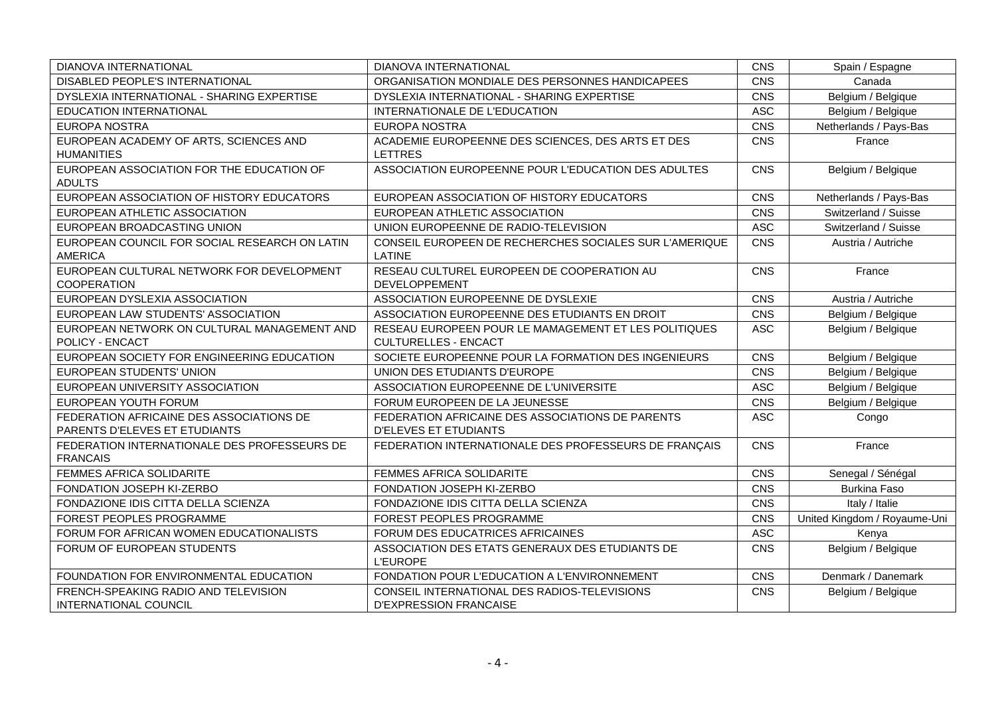| DIANOVA INTERNATIONAL                                           | DIANOVA INTERNATIONAL                                                   | CNS        | Spain / Espagne              |
|-----------------------------------------------------------------|-------------------------------------------------------------------------|------------|------------------------------|
| DISABLED PEOPLE'S INTERNATIONAL                                 | ORGANISATION MONDIALE DES PERSONNES HANDICAPEES                         | CNS        | Canada                       |
| DYSLEXIA INTERNATIONAL - SHARING EXPERTISE                      | DYSLEXIA INTERNATIONAL - SHARING EXPERTISE                              | CNS        | Belgium / Belgique           |
| <b>EDUCATION INTERNATIONAL</b>                                  | INTERNATIONALE DE L'EDUCATION                                           | ASC        | Belgium / Belgique           |
| <b>EUROPA NOSTRA</b>                                            | <b>EUROPA NOSTRA</b>                                                    | CNS        | Netherlands / Pays-Bas       |
| EUROPEAN ACADEMY OF ARTS, SCIENCES AND                          | ACADEMIE EUROPEENNE DES SCIENCES, DES ARTS ET DES                       | CNS        | France                       |
| <b>HUMANITIES</b>                                               | LETTRES                                                                 |            |                              |
| EUROPEAN ASSOCIATION FOR THE EDUCATION OF                       | ASSOCIATION EUROPEENNE POUR L'EDUCATION DES ADULTES                     | CNS        | Belgium / Belgique           |
| <b>ADULTS</b>                                                   |                                                                         |            |                              |
| EUROPEAN ASSOCIATION OF HISTORY EDUCATORS                       | EUROPEAN ASSOCIATION OF HISTORY EDUCATORS                               | CNS        | Netherlands / Pays-Bas       |
| EUROPEAN ATHLETIC ASSOCIATION                                   | EUROPEAN ATHLETIC ASSOCIATION                                           | CNS        | Switzerland / Suisse         |
| EUROPEAN BROADCASTING UNION                                     | UNION EUROPEENNE DE RADIO-TELEVISION                                    | <b>ASC</b> | Switzerland / Suisse         |
| EUROPEAN COUNCIL FOR SOCIAL RESEARCH ON LATIN<br><b>AMERICA</b> | CONSEIL EUROPEEN DE RECHERCHES SOCIALES SUR L'AMERIQUE<br><b>LATINE</b> | CNS        | Austria / Autriche           |
| EUROPEAN CULTURAL NETWORK FOR DEVELOPMENT<br>COOPERATION        | RESEAU CULTUREL EUROPEEN DE COOPERATION AU<br>DEVELOPPEMENT             | CNS        | France                       |
| EUROPEAN DYSLEXIA ASSOCIATION                                   | ASSOCIATION EUROPEENNE DE DYSLEXIE                                      | CNS        | Austria / Autriche           |
| EUROPEAN LAW STUDENTS' ASSOCIATION                              | ASSOCIATION EUROPEENNE DES ETUDIANTS EN DROIT                           | CNS        | Belgium / Belgique           |
| EUROPEAN NETWORK ON CULTURAL MANAGEMENT AND                     | RESEAU EUROPEEN POUR LE MAMAGEMENT ET LES POLITIQUES                    | <b>ASC</b> | Belgium / Belgique           |
| POLICY - ENCACT                                                 | <b>CULTURELLES - ENCACT</b>                                             |            |                              |
| EUROPEAN SOCIETY FOR ENGINEERING EDUCATION                      | SOCIETE EUROPEENNE POUR LA FORMATION DES INGENIEURS                     | CNS        | Belgium / Belgique           |
| EUROPEAN STUDENTS' UNION                                        | UNION DES ETUDIANTS D'EUROPE                                            | CNS        | Belgium / Belgique           |
| EUROPEAN UNIVERSITY ASSOCIATION                                 | ASSOCIATION EUROPEENNE DE L'UNIVERSITE                                  | <b>ASC</b> | Belgium / Belgique           |
| EUROPEAN YOUTH FORUM                                            | FORUM EUROPEEN DE LA JEUNESSE                                           | CNS        | Belgium / Belgique           |
| FEDERATION AFRICAINE DES ASSOCIATIONS DE                        | FEDERATION AFRICAINE DES ASSOCIATIONS DE PARENTS                        | <b>ASC</b> | Congo                        |
| PARENTS D'ELEVES ET ETUDIANTS                                   | <b>D'ELEVES ET ETUDIANTS</b>                                            |            |                              |
| FEDERATION INTERNATIONALE DES PROFESSEURS DE<br><b>FRANCAIS</b> | FEDERATION INTERNATIONALE DES PROFESSEURS DE FRANÇAIS                   | CNS        | France                       |
| FEMMES AFRICA SOLIDARITE                                        | FEMMES AFRICA SOLIDARITE                                                | CNS        | Senegal / Sénégal            |
| FONDATION JOSEPH KI-ZERBO                                       | FONDATION JOSEPH KI-ZERBO                                               | CNS        | <b>Burkina Faso</b>          |
| FONDAZIONE IDIS CITTA DELLA SCIENZA                             | FONDAZIONE IDIS CITTA DELLA SCIENZA                                     | CNS        | Italy / Italie               |
| FOREST PEOPLES PROGRAMME                                        | FOREST PEOPLES PROGRAMME                                                | CNS        | United Kingdom / Royaume-Uni |
| FORUM FOR AFRICAN WOMEN EDUCATIONALISTS                         | FORUM DES EDUCATRICES AFRICAINES                                        | ASC        | Kenya                        |
| FORUM OF EUROPEAN STUDENTS                                      | ASSOCIATION DES ETATS GENERAUX DES ETUDIANTS DE<br><b>L'EUROPE</b>      | CNS        | Belgium / Belgique           |
| FOUNDATION FOR ENVIRONMENTAL EDUCATION                          | FONDATION POUR L'EDUCATION A L'ENVIRONNEMENT                            | CNS        | Denmark / Danemark           |
| FRENCH-SPEAKING RADIO AND TELEVISION<br>INTERNATIONAL COUNCIL   | CONSEIL INTERNATIONAL DES RADIOS-TELEVISIONS<br>D'EXPRESSION FRANCAISE  | CNS        | Belgium / Belgique           |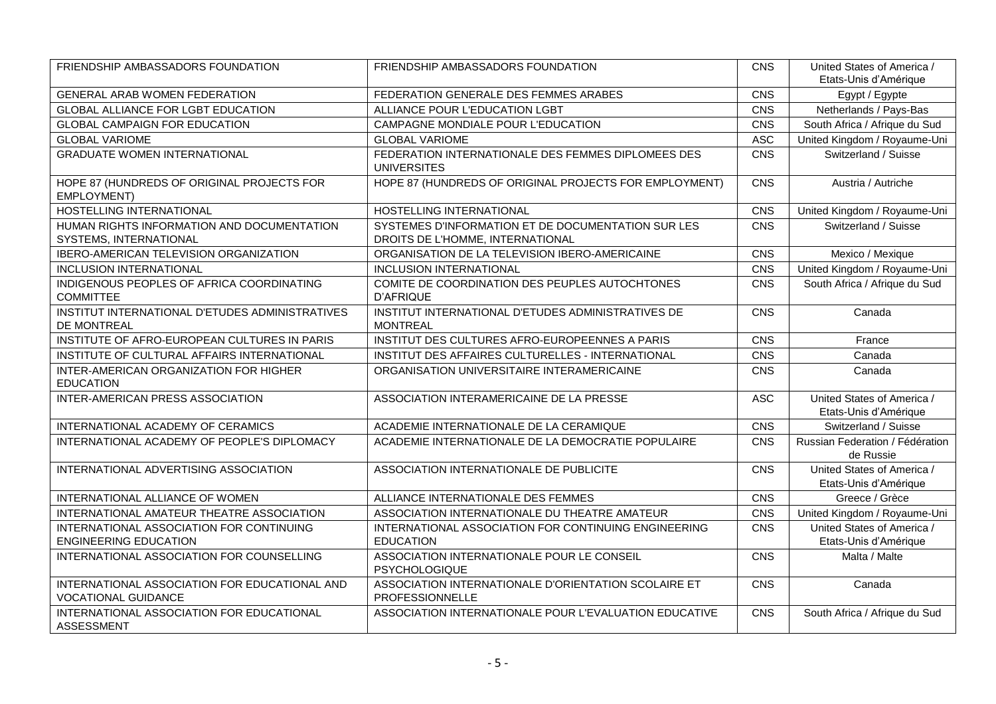| FRIENDSHIP AMBASSADORS FOUNDATION                                           | FRIENDSHIP AMBASSADORS FOUNDATION                                                      | CNS        | United States of America /<br>Etats-Unis d'Amérique |
|-----------------------------------------------------------------------------|----------------------------------------------------------------------------------------|------------|-----------------------------------------------------|
| <b>GENERAL ARAB WOMEN FEDERATION</b>                                        | FEDERATION GENERALE DES FEMMES ARABES                                                  | CNS        | Egypt / Egypte                                      |
| GLOBAL ALLIANCE FOR LGBT EDUCATION                                          | ALLIANCE POUR L'EDUCATION LGBT                                                         | CNS        | Netherlands / Pays-Bas                              |
| <b>GLOBAL CAMPAIGN FOR EDUCATION</b>                                        | CAMPAGNE MONDIALE POUR L'EDUCATION                                                     | CNS        | South Africa / Afrique du Sud                       |
| <b>GLOBAL VARIOME</b>                                                       | <b>GLOBAL VARIOME</b>                                                                  | <b>ASC</b> | United Kingdom / Royaume-Uni                        |
| <b>GRADUATE WOMEN INTERNATIONAL</b>                                         | FEDERATION INTERNATIONALE DES FEMMES DIPLOMEES DES<br><b>UNIVERSITES</b>               | CNS        | Switzerland / Suisse                                |
| HOPE 87 (HUNDREDS OF ORIGINAL PROJECTS FOR<br>EMPLOYMENT)                   | HOPE 87 (HUNDREDS OF ORIGINAL PROJECTS FOR EMPLOYMENT)                                 | CNS        | Austria / Autriche                                  |
| HOSTELLING INTERNATIONAL                                                    | <b>HOSTELLING INTERNATIONAL</b>                                                        | CNS        | United Kingdom / Royaume-Uni                        |
| HUMAN RIGHTS INFORMATION AND DOCUMENTATION<br>SYSTEMS, INTERNATIONAL        | SYSTEMES D'INFORMATION ET DE DOCUMENTATION SUR LES<br>DROITS DE L'HOMME, INTERNATIONAL | CNS        | Switzerland / Suisse                                |
| IBERO-AMERICAN TELEVISION ORGANIZATION                                      | ORGANISATION DE LA TELEVISION IBERO-AMERICAINE                                         | CNS        | Mexico / Mexique                                    |
| <b>INCLUSION INTERNATIONAL</b>                                              | <b>INCLUSION INTERNATIONAL</b>                                                         | CNS        | United Kingdom / Royaume-Uni                        |
| INDIGENOUS PEOPLES OF AFRICA COORDINATING<br><b>COMMITTEE</b>               | COMITE DE COORDINATION DES PEUPLES AUTOCHTONES<br><b>D'AFRIQUE</b>                     | CNS        | South Africa / Afrique du Sud                       |
| INSTITUT INTERNATIONAL D'ETUDES ADMINISTRATIVES<br>DE MONTREAL              | INSTITUT INTERNATIONAL D'ETUDES ADMINISTRATIVES DE<br><b>MONTREAL</b>                  | CNS        | Canada                                              |
| INSTITUTE OF AFRO-EUROPEAN CULTURES IN PARIS                                | INSTITUT DES CULTURES AFRO-EUROPEENNES A PARIS                                         | CNS        | France                                              |
| INSTITUTE OF CULTURAL AFFAIRS INTERNATIONAL                                 | INSTITUT DES AFFAIRES CULTURELLES - INTERNATIONAL                                      | CNS        | Canada                                              |
| INTER-AMERICAN ORGANIZATION FOR HIGHER<br><b>EDUCATION</b>                  | ORGANISATION UNIVERSITAIRE INTERAMERICAINE                                             | CNS        | Canada                                              |
| INTER-AMERICAN PRESS ASSOCIATION                                            | ASSOCIATION INTERAMERICAINE DE LA PRESSE                                               | <b>ASC</b> | United States of America /<br>Etats-Unis d'Amérique |
| INTERNATIONAL ACADEMY OF CERAMICS                                           | ACADEMIE INTERNATIONALE DE LA CERAMIQUE                                                | CNS        | Switzerland / Suisse                                |
| INTERNATIONAL ACADEMY OF PEOPLE'S DIPLOMACY                                 | ACADEMIE INTERNATIONALE DE LA DEMOCRATIE POPULAIRE                                     | CNS        | Russian Federation / Fédération<br>de Russie        |
| INTERNATIONAL ADVERTISING ASSOCIATION                                       | ASSOCIATION INTERNATIONALE DE PUBLICITE                                                | CNS        | United States of America /<br>Etats-Unis d'Amérique |
| INTERNATIONAL ALLIANCE OF WOMEN                                             | ALLIANCE INTERNATIONALE DES FEMMES                                                     | CNS        | Greece / Grèce                                      |
| INTERNATIONAL AMATEUR THEATRE ASSOCIATION                                   | ASSOCIATION INTERNATIONALE DU THEATRE AMATEUR                                          | CNS        | United Kingdom / Royaume-Uni                        |
| INTERNATIONAL ASSOCIATION FOR CONTINUING<br><b>ENGINEERING EDUCATION</b>    | INTERNATIONAL ASSOCIATION FOR CONTINUING ENGINEERING<br><b>EDUCATION</b>               | CNS        | United States of America /<br>Etats-Unis d'Amérique |
| INTERNATIONAL ASSOCIATION FOR COUNSELLING                                   | ASSOCIATION INTERNATIONALE POUR LE CONSEIL<br>PSYCHOLOGIQUE                            | CNS        | Malta / Malte                                       |
| INTERNATIONAL ASSOCIATION FOR EDUCATIONAL AND<br><b>VOCATIONAL GUIDANCE</b> | ASSOCIATION INTERNATIONALE D'ORIENTATION SCOLAIRE ET<br>PROFESSIONNELLE                | CNS        | Canada                                              |
| INTERNATIONAL ASSOCIATION FOR EDUCATIONAL<br><b>ASSESSMENT</b>              | ASSOCIATION INTERNATIONALE POUR L'EVALUATION EDUCATIVE                                 | CNS        | South Africa / Afrique du Sud                       |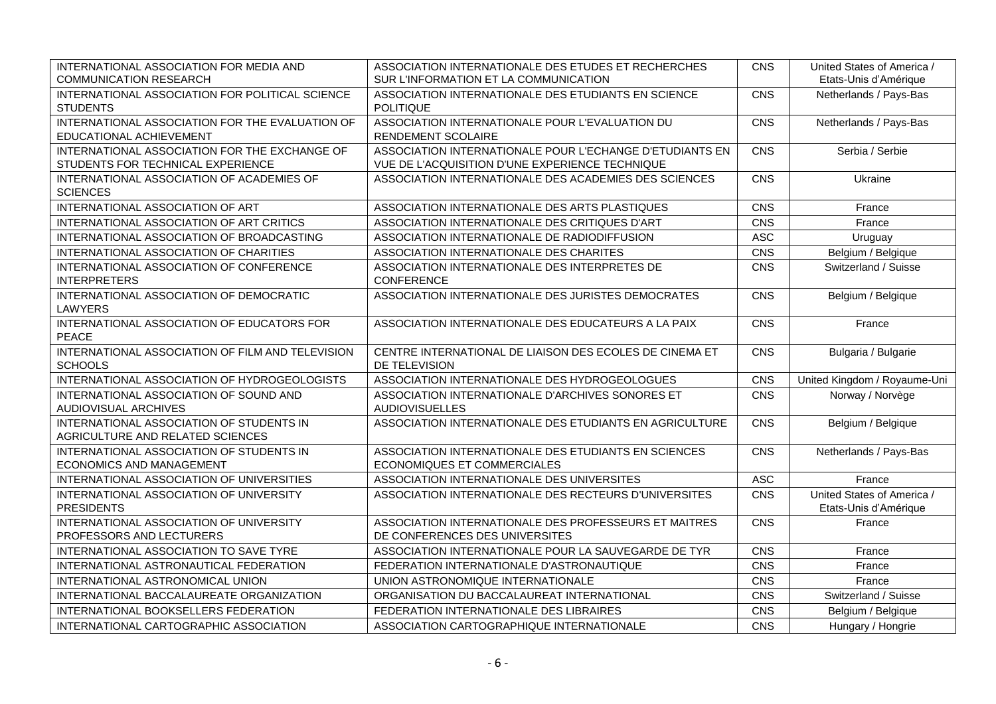| INTERNATIONAL ASSOCIATION FOR MEDIA AND<br><b>COMMUNICATION RESEARCH</b>           | ASSOCIATION INTERNATIONALE DES ETUDES ET RECHERCHES<br>SUR L'INFORMATION ET LA COMMUNICATION                | <b>CNS</b> | United States of America /<br>Etats-Unis d'Amérique |
|------------------------------------------------------------------------------------|-------------------------------------------------------------------------------------------------------------|------------|-----------------------------------------------------|
| INTERNATIONAL ASSOCIATION FOR POLITICAL SCIENCE<br><b>STUDENTS</b>                 | ASSOCIATION INTERNATIONALE DES ETUDIANTS EN SCIENCE<br><b>POLITIQUE</b>                                     | CNS        | Netherlands / Pays-Bas                              |
| INTERNATIONAL ASSOCIATION FOR THE EVALUATION OF<br>EDUCATIONAL ACHIEVEMENT         | ASSOCIATION INTERNATIONALE POUR L'EVALUATION DU<br>RENDEMENT SCOLAIRE                                       | CNS        | Netherlands / Pays-Bas                              |
| INTERNATIONAL ASSOCIATION FOR THE EXCHANGE OF<br>STUDENTS FOR TECHNICAL EXPERIENCE | ASSOCIATION INTERNATIONALE POUR L'ECHANGE D'ETUDIANTS EN<br>VUE DE L'ACQUISITION D'UNE EXPERIENCE TECHNIQUE | <b>CNS</b> | Serbia / Serbie                                     |
| INTERNATIONAL ASSOCIATION OF ACADEMIES OF<br><b>SCIENCES</b>                       | ASSOCIATION INTERNATIONALE DES ACADEMIES DES SCIENCES                                                       | CNS        | Ukraine                                             |
| INTERNATIONAL ASSOCIATION OF ART                                                   | ASSOCIATION INTERNATIONALE DES ARTS PLASTIQUES                                                              | CNS        | France                                              |
| INTERNATIONAL ASSOCIATION OF ART CRITICS                                           | ASSOCIATION INTERNATIONALE DES CRITIQUES D'ART                                                              | CNS        | France                                              |
| INTERNATIONAL ASSOCIATION OF BROADCASTING                                          | ASSOCIATION INTERNATIONALE DE RADIODIFFUSION                                                                | <b>ASC</b> | Uruguay                                             |
| INTERNATIONAL ASSOCIATION OF CHARITIES                                             | ASSOCIATION INTERNATIONALE DES CHARITES                                                                     | CNS        | Belgium / Belgique                                  |
| INTERNATIONAL ASSOCIATION OF CONFERENCE<br><b>INTERPRETERS</b>                     | ASSOCIATION INTERNATIONALE DES INTERPRETES DE<br>CONFERENCE                                                 | CNS        | Switzerland / Suisse                                |
| INTERNATIONAL ASSOCIATION OF DEMOCRATIC<br><b>LAWYERS</b>                          | ASSOCIATION INTERNATIONALE DES JURISTES DEMOCRATES                                                          | CNS        | Belgium / Belgique                                  |
| INTERNATIONAL ASSOCIATION OF EDUCATORS FOR<br><b>PEACE</b>                         | ASSOCIATION INTERNATIONALE DES EDUCATEURS A LA PAIX                                                         | CNS        | France                                              |
| INTERNATIONAL ASSOCIATION OF FILM AND TELEVISION<br><b>SCHOOLS</b>                 | CENTRE INTERNATIONAL DE LIAISON DES ECOLES DE CINEMA ET<br>DE TELEVISION                                    | CNS        | Bulgaria / Bulgarie                                 |
| INTERNATIONAL ASSOCIATION OF HYDROGEOLOGISTS                                       | ASSOCIATION INTERNATIONALE DES HYDROGEOLOGUES                                                               | CNS        | United Kingdom / Royaume-Uni                        |
| INTERNATIONAL ASSOCIATION OF SOUND AND<br>AUDIOVISUAL ARCHIVES                     | ASSOCIATION INTERNATIONALE D'ARCHIVES SONORES ET<br><b>AUDIOVISUELLES</b>                                   | CNS        | Norway / Norvège                                    |
| INTERNATIONAL ASSOCIATION OF STUDENTS IN<br>AGRICULTURE AND RELATED SCIENCES       | ASSOCIATION INTERNATIONALE DES ETUDIANTS EN AGRICULTURE                                                     | CNS        | Belgium / Belgique                                  |
| INTERNATIONAL ASSOCIATION OF STUDENTS IN<br>ECONOMICS AND MANAGEMENT               | ASSOCIATION INTERNATIONALE DES ETUDIANTS EN SCIENCES<br><b>ECONOMIQUES ET COMMERCIALES</b>                  | CNS        | Netherlands / Pays-Bas                              |
| INTERNATIONAL ASSOCIATION OF UNIVERSITIES                                          | ASSOCIATION INTERNATIONALE DES UNIVERSITES                                                                  | <b>ASC</b> | France                                              |
| INTERNATIONAL ASSOCIATION OF UNIVERSITY<br><b>PRESIDENTS</b>                       | ASSOCIATION INTERNATIONALE DES RECTEURS D'UNIVERSITES                                                       | CNS        | United States of America /<br>Etats-Unis d'Amérique |
| INTERNATIONAL ASSOCIATION OF UNIVERSITY<br>PROFESSORS AND LECTURERS                | ASSOCIATION INTERNATIONALE DES PROFESSEURS ET MAITRES<br>DE CONFERENCES DES UNIVERSITES                     | CNS        | France                                              |
| INTERNATIONAL ASSOCIATION TO SAVE TYRE                                             | ASSOCIATION INTERNATIONALE POUR LA SAUVEGARDE DE TYR                                                        | CNS        | France                                              |
| INTERNATIONAL ASTRONAUTICAL FEDERATION                                             | FEDERATION INTERNATIONALE D'ASTRONAUTIQUE                                                                   | CNS        | France                                              |
| INTERNATIONAL ASTRONOMICAL UNION                                                   | UNION ASTRONOMIQUE INTERNATIONALE                                                                           | CNS        | France                                              |
| INTERNATIONAL BACCALAUREATE ORGANIZATION                                           | ORGANISATION DU BACCALAUREAT INTERNATIONAL                                                                  | CNS        | Switzerland / Suisse                                |
| INTERNATIONAL BOOKSELLERS FEDERATION                                               | FEDERATION INTERNATIONALE DES LIBRAIRES                                                                     | CNS        | Belgium / Belgique                                  |
| INTERNATIONAL CARTOGRAPHIC ASSOCIATION                                             | ASSOCIATION CARTOGRAPHIQUE INTERNATIONALE                                                                   | CNS        | Hungary / Hongrie                                   |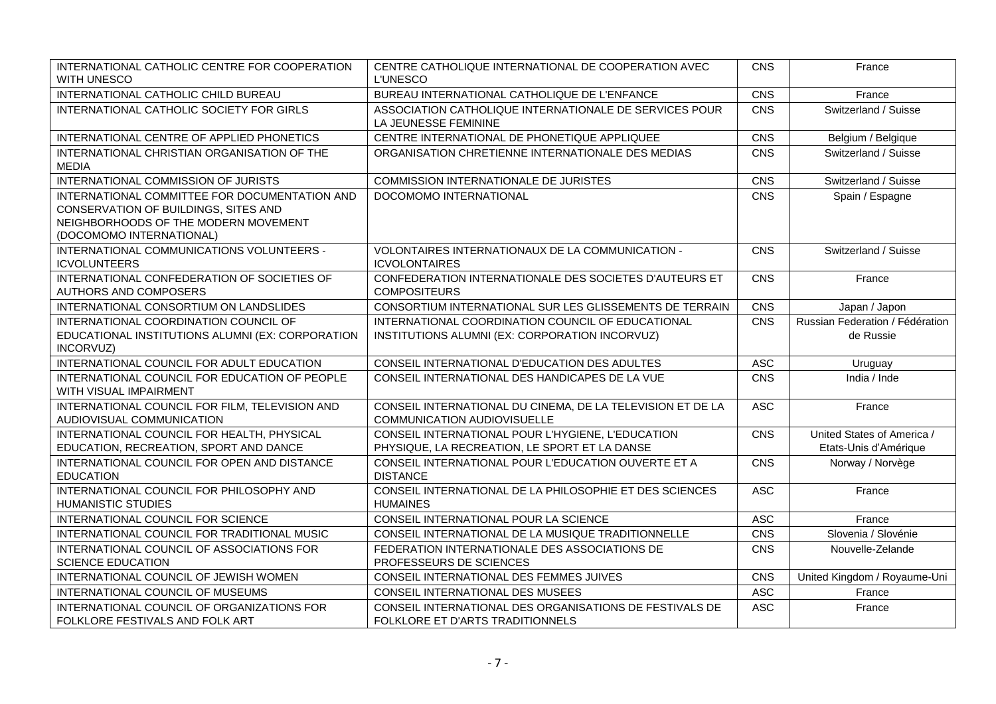| INTERNATIONAL CATHOLIC CENTRE FOR COOPERATION<br>WITH UNESCO                                                                                              | CENTRE CATHOLIQUE INTERNATIONAL DE COOPERATION AVEC<br><b>L'UNESCO</b>                              | CNS        | France                                              |
|-----------------------------------------------------------------------------------------------------------------------------------------------------------|-----------------------------------------------------------------------------------------------------|------------|-----------------------------------------------------|
| INTERNATIONAL CATHOLIC CHILD BUREAU                                                                                                                       | BUREAU INTERNATIONAL CATHOLIQUE DE L'ENFANCE                                                        | CNS        | France                                              |
| INTERNATIONAL CATHOLIC SOCIETY FOR GIRLS                                                                                                                  | ASSOCIATION CATHOLIQUE INTERNATIONALE DE SERVICES POUR<br>LA JEUNESSE FEMININE                      | CNS        | Switzerland / Suisse                                |
| INTERNATIONAL CENTRE OF APPLIED PHONETICS                                                                                                                 | CENTRE INTERNATIONAL DE PHONETIQUE APPLIQUEE                                                        | CNS        | Belgium / Belgique                                  |
| INTERNATIONAL CHRISTIAN ORGANISATION OF THE<br><b>MEDIA</b>                                                                                               | ORGANISATION CHRETIENNE INTERNATIONALE DES MEDIAS                                                   | CNS        | Switzerland / Suisse                                |
| INTERNATIONAL COMMISSION OF JURISTS                                                                                                                       | <b>COMMISSION INTERNATIONALE DE JURISTES</b>                                                        | CNS        | Switzerland / Suisse                                |
| INTERNATIONAL COMMITTEE FOR DOCUMENTATION AND<br>CONSERVATION OF BUILDINGS, SITES AND<br>NEIGHBORHOODS OF THE MODERN MOVEMENT<br>(DOCOMOMO INTERNATIONAL) | DOCOMOMO INTERNATIONAL                                                                              | CNS        | Spain / Espagne                                     |
| INTERNATIONAL COMMUNICATIONS VOLUNTEERS -<br><b>ICVOLUNTEERS</b>                                                                                          | VOLONTAIRES INTERNATIONAUX DE LA COMMUNICATION -<br><b>ICVOLONTAIRES</b>                            | <b>CNS</b> | Switzerland / Suisse                                |
| INTERNATIONAL CONFEDERATION OF SOCIETIES OF<br>AUTHORS AND COMPOSERS                                                                                      | CONFEDERATION INTERNATIONALE DES SOCIETES D'AUTEURS ET<br><b>COMPOSITEURS</b>                       | CNS        | France                                              |
| INTERNATIONAL CONSORTIUM ON LANDSLIDES                                                                                                                    | CONSORTIUM INTERNATIONAL SUR LES GLISSEMENTS DE TERRAIN                                             | CNS        | Japan / Japon                                       |
| INTERNATIONAL COORDINATION COUNCIL OF<br>EDUCATIONAL INSTITUTIONS ALUMNI (EX: CORPORATION<br>INCORVUZ)                                                    | INTERNATIONAL COORDINATION COUNCIL OF EDUCATIONAL<br>INSTITUTIONS ALUMNI (EX: CORPORATION INCORVUZ) | CNS        | Russian Federation / Fédération<br>de Russie        |
| INTERNATIONAL COUNCIL FOR ADULT EDUCATION                                                                                                                 | CONSEIL INTERNATIONAL D'EDUCATION DES ADULTES                                                       | <b>ASC</b> | Uruguay                                             |
| INTERNATIONAL COUNCIL FOR EDUCATION OF PEOPLE<br>WITH VISUAL IMPAIRMENT                                                                                   | CONSEIL INTERNATIONAL DES HANDICAPES DE LA VUE                                                      | <b>CNS</b> | India / Inde                                        |
| INTERNATIONAL COUNCIL FOR FILM, TELEVISION AND<br>AUDIOVISUAL COMMUNICATION                                                                               | CONSEIL INTERNATIONAL DU CINEMA, DE LA TELEVISION ET DE LA<br>COMMUNICATION AUDIOVISUELLE           | <b>ASC</b> | France                                              |
| INTERNATIONAL COUNCIL FOR HEALTH, PHYSICAL<br>EDUCATION, RECREATION, SPORT AND DANCE                                                                      | CONSEIL INTERNATIONAL POUR L'HYGIENE, L'EDUCATION<br>PHYSIQUE, LA RECREATION, LE SPORT ET LA DANSE  | CNS        | United States of America /<br>Etats-Unis d'Amérique |
| INTERNATIONAL COUNCIL FOR OPEN AND DISTANCE<br><b>EDUCATION</b>                                                                                           | CONSEIL INTERNATIONAL POUR L'EDUCATION OUVERTE ET A<br><b>DISTANCE</b>                              | <b>CNS</b> | Norway / Norvège                                    |
| INTERNATIONAL COUNCIL FOR PHILOSOPHY AND<br><b>HUMANISTIC STUDIES</b>                                                                                     | CONSEIL INTERNATIONAL DE LA PHILOSOPHIE ET DES SCIENCES<br><b>HUMAINES</b>                          | <b>ASC</b> | France                                              |
| INTERNATIONAL COUNCIL FOR SCIENCE                                                                                                                         | CONSEIL INTERNATIONAL POUR LA SCIENCE                                                               | <b>ASC</b> | France                                              |
| INTERNATIONAL COUNCIL FOR TRADITIONAL MUSIC                                                                                                               | CONSEIL INTERNATIONAL DE LA MUSIQUE TRADITIONNELLE                                                  | CNS        | Slovenia / Slovénie                                 |
| INTERNATIONAL COUNCIL OF ASSOCIATIONS FOR<br><b>SCIENCE EDUCATION</b>                                                                                     | FEDERATION INTERNATIONALE DES ASSOCIATIONS DE<br>PROFESSEURS DE SCIENCES                            | CNS        | Nouvelle-Zelande                                    |
| INTERNATIONAL COUNCIL OF JEWISH WOMEN                                                                                                                     | CONSEIL INTERNATIONAL DES FEMMES JUIVES                                                             | CNS        | United Kingdom / Royaume-Uni                        |
| INTERNATIONAL COUNCIL OF MUSEUMS                                                                                                                          | CONSEIL INTERNATIONAL DES MUSEES                                                                    | <b>ASC</b> | France                                              |
| INTERNATIONAL COUNCIL OF ORGANIZATIONS FOR<br>FOLKLORE FESTIVALS AND FOLK ART                                                                             | CONSEIL INTERNATIONAL DES ORGANISATIONS DE FESTIVALS DE<br>FOLKLORE ET D'ARTS TRADITIONNELS         | <b>ASC</b> | France                                              |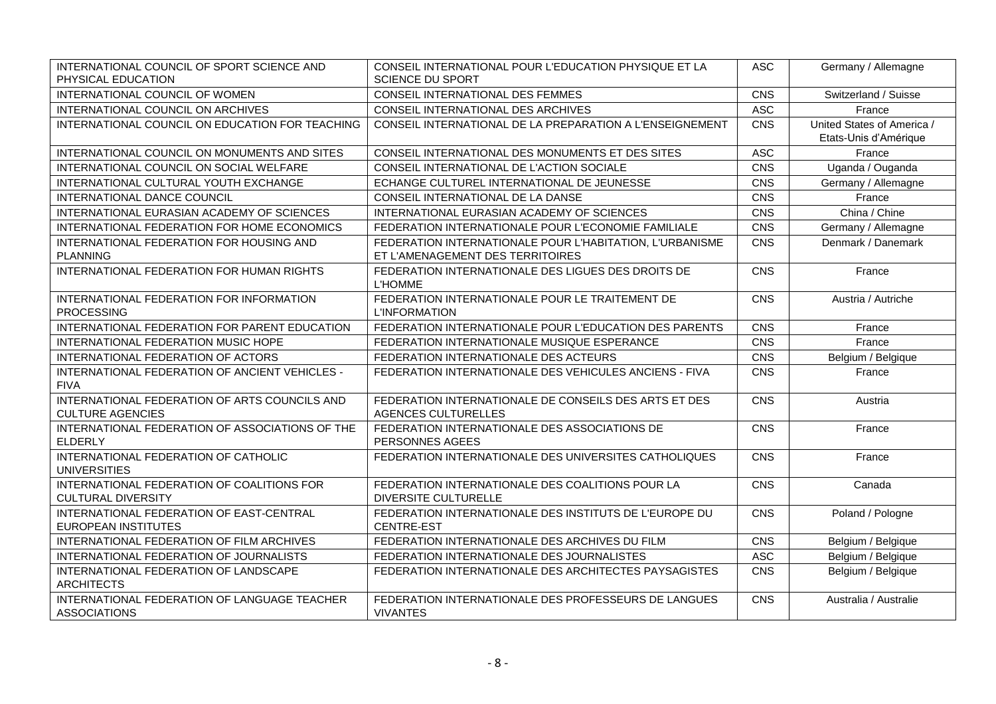| INTERNATIONAL COUNCIL OF SPORT SCIENCE AND<br>PHYSICAL EDUCATION         | CONSEIL INTERNATIONAL POUR L'EDUCATION PHYSIQUE ET LA<br><b>SCIENCE DU SPORT</b>             | <b>ASC</b> | Germany / Allemagne                                 |
|--------------------------------------------------------------------------|----------------------------------------------------------------------------------------------|------------|-----------------------------------------------------|
| INTERNATIONAL COUNCIL OF WOMEN                                           | CONSEIL INTERNATIONAL DES FEMMES                                                             | CNS        | Switzerland / Suisse                                |
| INTERNATIONAL COUNCIL ON ARCHIVES                                        | CONSEIL INTERNATIONAL DES ARCHIVES                                                           | <b>ASC</b> | France                                              |
| INTERNATIONAL COUNCIL ON EDUCATION FOR TEACHING                          | CONSEIL INTERNATIONAL DE LA PREPARATION A L'ENSEIGNEMENT                                     | CNS        | United States of America /<br>Etats-Unis d'Amérique |
| INTERNATIONAL COUNCIL ON MONUMENTS AND SITES                             | CONSEIL INTERNATIONAL DES MONUMENTS ET DES SITES                                             | <b>ASC</b> | France                                              |
| INTERNATIONAL COUNCIL ON SOCIAL WELFARE                                  | CONSEIL INTERNATIONAL DE L'ACTION SOCIALE                                                    | CNS        | Uganda / Ouganda                                    |
| INTERNATIONAL CULTURAL YOUTH EXCHANGE                                    | ECHANGE CULTUREL INTERNATIONAL DE JEUNESSE                                                   | CNS        | Germany / Allemagne                                 |
| INTERNATIONAL DANCE COUNCIL                                              | CONSEIL INTERNATIONAL DE LA DANSE                                                            | CNS        | France                                              |
| INTERNATIONAL EURASIAN ACADEMY OF SCIENCES                               | INTERNATIONAL EURASIAN ACADEMY OF SCIENCES                                                   | CNS        | China / Chine                                       |
| INTERNATIONAL FEDERATION FOR HOME ECONOMICS                              | FEDERATION INTERNATIONALE POUR L'ECONOMIE FAMILIALE                                          | CNS        | Germany / Allemagne                                 |
| <b>INTERNATIONAL FEDERATION FOR HOUSING AND</b><br><b>PLANNING</b>       | FEDERATION INTERNATIONALE POUR L'HABITATION, L'URBANISME<br>ET L'AMENAGEMENT DES TERRITOIRES | <b>CNS</b> | Denmark / Danemark                                  |
| INTERNATIONAL FEDERATION FOR HUMAN RIGHTS                                | FEDERATION INTERNATIONALE DES LIGUES DES DROITS DE<br><b>L'HOMME</b>                         | CNS        | France                                              |
| INTERNATIONAL FEDERATION FOR INFORMATION<br><b>PROCESSING</b>            | FEDERATION INTERNATIONALE POUR LE TRAITEMENT DE<br><b>L'INFORMATION</b>                      | CNS        | Austria / Autriche                                  |
| INTERNATIONAL FEDERATION FOR PARENT EDUCATION                            | FEDERATION INTERNATIONALE POUR L'EDUCATION DES PARENTS                                       | CNS        | France                                              |
| INTERNATIONAL FEDERATION MUSIC HOPE                                      | FEDERATION INTERNATIONALE MUSIQUE ESPERANCE                                                  | CNS        | France                                              |
| INTERNATIONAL FEDERATION OF ACTORS                                       | FEDERATION INTERNATIONALE DES ACTEURS                                                        | CNS        | Belgium / Belgique                                  |
| INTERNATIONAL FEDERATION OF ANCIENT VEHICLES -<br><b>FIVA</b>            | FEDERATION INTERNATIONALE DES VEHICULES ANCIENS - FIVA                                       | CNS        | France                                              |
| INTERNATIONAL FEDERATION OF ARTS COUNCILS AND<br><b>CULTURE AGENCIES</b> | FEDERATION INTERNATIONALE DE CONSEILS DES ARTS ET DES<br><b>AGENCES CULTURELLES</b>          | CNS        | Austria                                             |
| INTERNATIONAL FEDERATION OF ASSOCIATIONS OF THE<br><b>ELDERLY</b>        | FEDERATION INTERNATIONALE DES ASSOCIATIONS DE<br>PERSONNES AGEES                             | CNS        | France                                              |
| INTERNATIONAL FEDERATION OF CATHOLIC<br><b>UNIVERSITIES</b>              | FEDERATION INTERNATIONALE DES UNIVERSITES CATHOLIQUES                                        | CNS        | France                                              |
| INTERNATIONAL FEDERATION OF COALITIONS FOR<br><b>CULTURAL DIVERSITY</b>  | FEDERATION INTERNATIONALE DES COALITIONS POUR LA<br><b>DIVERSITE CULTURELLE</b>              | <b>CNS</b> | Canada                                              |
| INTERNATIONAL FEDERATION OF EAST-CENTRAL<br><b>EUROPEAN INSTITUTES</b>   | FEDERATION INTERNATIONALE DES INSTITUTS DE L'EUROPE DU<br>CENTRE-EST                         | CNS        | Poland / Pologne                                    |
| INTERNATIONAL FEDERATION OF FILM ARCHIVES                                | FEDERATION INTERNATIONALE DES ARCHIVES DU FILM                                               | CNS        | Belgium / Belgique                                  |
| INTERNATIONAL FEDERATION OF JOURNALISTS                                  | FEDERATION INTERNATIONALE DES JOURNALISTES                                                   | <b>ASC</b> | Belgium / Belgique                                  |
| INTERNATIONAL FEDERATION OF LANDSCAPE<br><b>ARCHITECTS</b>               | FEDERATION INTERNATIONALE DES ARCHITECTES PAYSAGISTES                                        | <b>CNS</b> | Belgium / Belgique                                  |
| INTERNATIONAL FEDERATION OF LANGUAGE TEACHER<br><b>ASSOCIATIONS</b>      | FEDERATION INTERNATIONALE DES PROFESSEURS DE LANGUES<br><b>VIVANTES</b>                      | CNS        | Australia / Australie                               |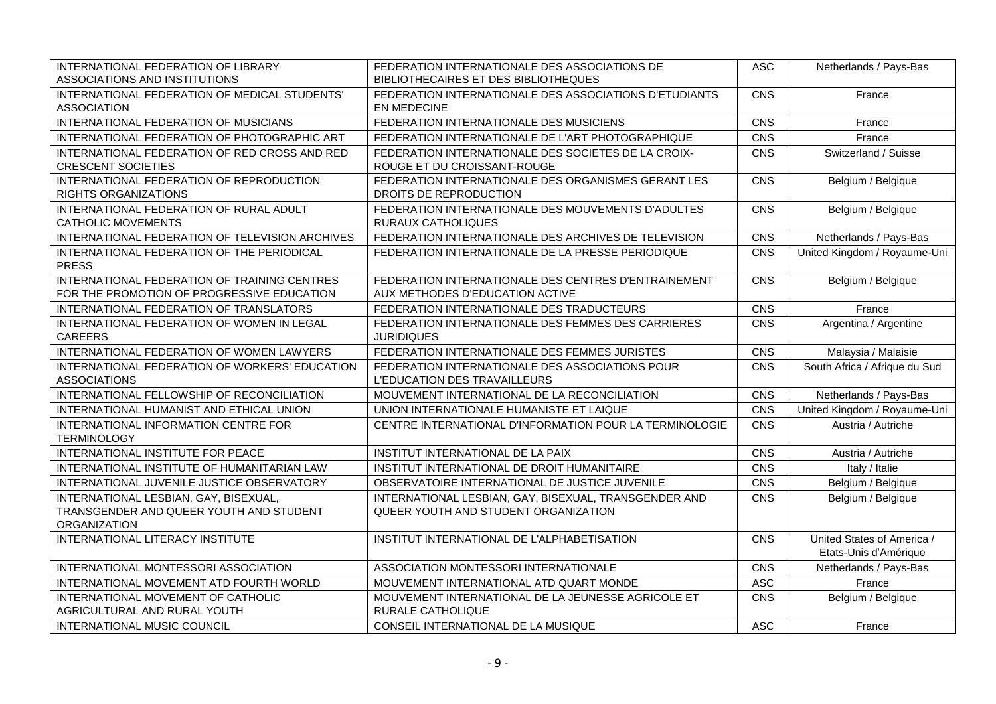| INTERNATIONAL FEDERATION OF LIBRARY<br>ASSOCIATIONS AND INSTITUTIONS                       | FEDERATION INTERNATIONALE DES ASSOCIATIONS DE<br>BIBLIOTHECAIRES ET DES BIBLIOTHEQUES   | <b>ASC</b> | Netherlands / Pays-Bas        |
|--------------------------------------------------------------------------------------------|-----------------------------------------------------------------------------------------|------------|-------------------------------|
| INTERNATIONAL FEDERATION OF MEDICAL STUDENTS'<br><b>ASSOCIATION</b>                        | FEDERATION INTERNATIONALE DES ASSOCIATIONS D'ETUDIANTS<br>EN MEDECINE                   | CNS        | France                        |
| INTERNATIONAL FEDERATION OF MUSICIANS                                                      | FEDERATION INTERNATIONALE DES MUSICIENS                                                 | CNS        | France                        |
| INTERNATIONAL FEDERATION OF PHOTOGRAPHIC ART                                               | FEDERATION INTERNATIONALE DE L'ART PHOTOGRAPHIQUE                                       | CNS        | France                        |
| INTERNATIONAL FEDERATION OF RED CROSS AND RED                                              | FEDERATION INTERNATIONALE DES SOCIETES DE LA CROIX-                                     | CNS        | Switzerland / Suisse          |
| <b>CRESCENT SOCIETIES</b>                                                                  | ROUGE ET DU CROISSANT-ROUGE                                                             |            |                               |
| INTERNATIONAL FEDERATION OF REPRODUCTION                                                   | FEDERATION INTERNATIONALE DES ORGANISMES GERANT LES                                     | CNS        | Belgium / Belgique            |
| RIGHTS ORGANIZATIONS                                                                       | DROITS DE REPRODUCTION                                                                  |            |                               |
| INTERNATIONAL FEDERATION OF RURAL ADULT                                                    | FEDERATION INTERNATIONALE DES MOUVEMENTS D'ADULTES                                      | CNS        | Belgium / Belgique            |
| <b>CATHOLIC MOVEMENTS</b>                                                                  | <b>RURAUX CATHOLIQUES</b>                                                               |            |                               |
| INTERNATIONAL FEDERATION OF TELEVISION ARCHIVES                                            | FEDERATION INTERNATIONALE DES ARCHIVES DE TELEVISION                                    | CNS        | Netherlands / Pays-Bas        |
| INTERNATIONAL FEDERATION OF THE PERIODICAL<br><b>PRESS</b>                                 | FEDERATION INTERNATIONALE DE LA PRESSE PERIODIQUE                                       | CNS        | United Kingdom / Royaume-Uni  |
| INTERNATIONAL FEDERATION OF TRAINING CENTRES<br>FOR THE PROMOTION OF PROGRESSIVE EDUCATION | FEDERATION INTERNATIONALE DES CENTRES D'ENTRAINEMENT<br>AUX METHODES D'EDUCATION ACTIVE | CNS        | Belgium / Belgique            |
| INTERNATIONAL FEDERATION OF TRANSLATORS                                                    | FEDERATION INTERNATIONALE DES TRADUCTEURS                                               | CNS        | France                        |
| INTERNATIONAL FEDERATION OF WOMEN IN LEGAL<br><b>CAREERS</b>                               | FEDERATION INTERNATIONALE DES FEMMES DES CARRIERES<br><b>JURIDIQUES</b>                 | CNS        | Argentina / Argentine         |
| INTERNATIONAL FEDERATION OF WOMEN LAWYERS                                                  | FEDERATION INTERNATIONALE DES FEMMES JURISTES                                           | CNS        | Malaysia / Malaisie           |
| INTERNATIONAL FEDERATION OF WORKERS' EDUCATION<br><b>ASSOCIATIONS</b>                      | FEDERATION INTERNATIONALE DES ASSOCIATIONS POUR<br>L'EDUCATION DES TRAVAILLEURS         | CNS        | South Africa / Afrique du Sud |
| INTERNATIONAL FELLOWSHIP OF RECONCILIATION                                                 | MOUVEMENT INTERNATIONAL DE LA RECONCILIATION                                            | CNS        | Netherlands / Pays-Bas        |
| INTERNATIONAL HUMANIST AND ETHICAL UNION                                                   | UNION INTERNATIONALE HUMANISTE ET LAIQUE                                                | CNS        | United Kingdom / Royaume-Uni  |
| INTERNATIONAL INFORMATION CENTRE FOR<br><b>TERMINOLOGY</b>                                 | CENTRE INTERNATIONAL D'INFORMATION POUR LA TERMINOLOGIE                                 | CNS        | Austria / Autriche            |
| INTERNATIONAL INSTITUTE FOR PEACE                                                          | INSTITUT INTERNATIONAL DE LA PAIX                                                       | CNS        | Austria / Autriche            |
| INTERNATIONAL INSTITUTE OF HUMANITARIAN LAW                                                | INSTITUT INTERNATIONAL DE DROIT HUMANITAIRE                                             | CNS        | Italy / Italie                |
| INTERNATIONAL JUVENILE JUSTICE OBSERVATORY                                                 | OBSERVATOIRE INTERNATIONAL DE JUSTICE JUVENILE                                          | <b>CNS</b> | Belgium / Belgique            |
| INTERNATIONAL LESBIAN, GAY, BISEXUAL,                                                      | INTERNATIONAL LESBIAN, GAY, BISEXUAL, TRANSGENDER AND                                   | CNS        | Belgium / Belgique            |
| TRANSGENDER AND QUEER YOUTH AND STUDENT                                                    | QUEER YOUTH AND STUDENT ORGANIZATION                                                    |            |                               |
| <b>ORGANIZATION</b>                                                                        |                                                                                         |            |                               |
| INTERNATIONAL LITERACY INSTITUTE                                                           | INSTITUT INTERNATIONAL DE L'ALPHABETISATION                                             | CNS        | United States of America /    |
|                                                                                            |                                                                                         |            | Etats-Unis d'Amérique         |
| INTERNATIONAL MONTESSORI ASSOCIATION                                                       | ASSOCIATION MONTESSORI INTERNATIONALE                                                   | CNS        | Netherlands / Pays-Bas        |
| INTERNATIONAL MOVEMENT ATD FOURTH WORLD                                                    | MOUVEMENT INTERNATIONAL ATD QUART MONDE                                                 | <b>ASC</b> | France                        |
| INTERNATIONAL MOVEMENT OF CATHOLIC                                                         | MOUVEMENT INTERNATIONAL DE LA JEUNESSE AGRICOLE ET                                      | CNS        | Belgium / Belgique            |
| AGRICULTURAL AND RURAL YOUTH                                                               | RURALE CATHOLIQUE                                                                       |            |                               |
| INTERNATIONAL MUSIC COUNCIL                                                                | CONSEIL INTERNATIONAL DE LA MUSIQUE                                                     | <b>ASC</b> | France                        |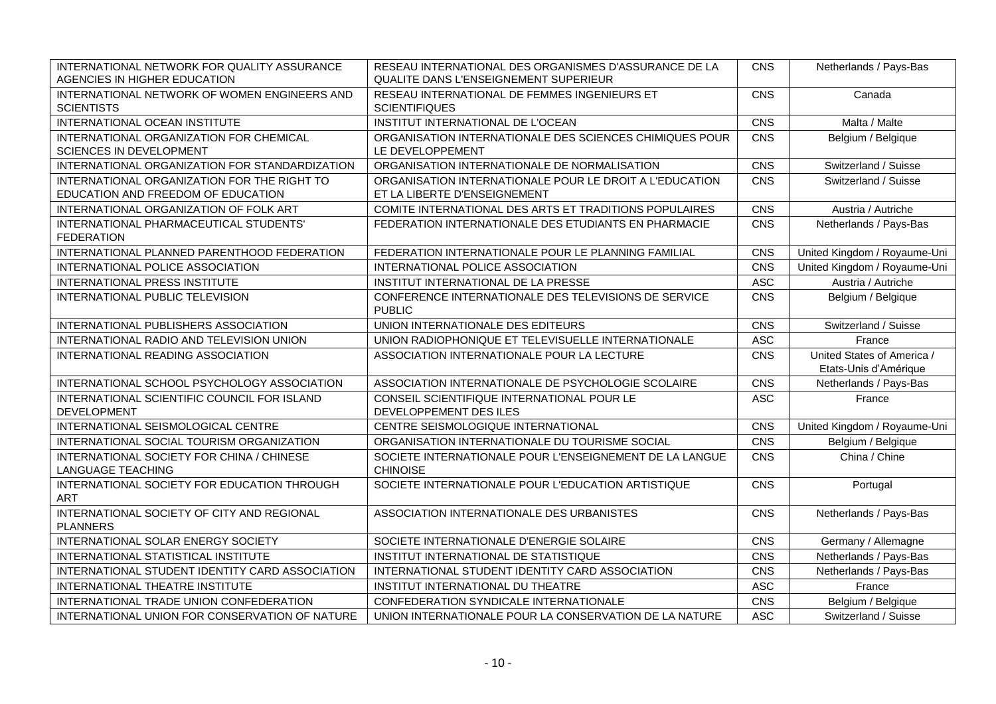| INTERNATIONAL NETWORK FOR QUALITY ASSURANCE<br>AGENCIES IN HIGHER EDUCATION       | RESEAU INTERNATIONAL DES ORGANISMES D'ASSURANCE DE LA<br><b>QUALITE DANS L'ENSEIGNEMENT SUPERIEUR</b> | CNS        | Netherlands / Pays-Bas                              |
|-----------------------------------------------------------------------------------|-------------------------------------------------------------------------------------------------------|------------|-----------------------------------------------------|
| INTERNATIONAL NETWORK OF WOMEN ENGINEERS AND<br><b>SCIENTISTS</b>                 | RESEAU INTERNATIONAL DE FEMMES INGENIEURS ET<br><b>SCIENTIFIQUES</b>                                  | CNS        | Canada                                              |
| INTERNATIONAL OCEAN INSTITUTE                                                     | INSTITUT INTERNATIONAL DE L'OCEAN                                                                     | CNS        | Malta / Malte                                       |
| INTERNATIONAL ORGANIZATION FOR CHEMICAL<br>SCIENCES IN DEVELOPMENT                | ORGANISATION INTERNATIONALE DES SCIENCES CHIMIQUES POUR<br>LE DEVELOPPEMENT                           | CNS        | Belgium / Belgique                                  |
| INTERNATIONAL ORGANIZATION FOR STANDARDIZATION                                    | ORGANISATION INTERNATIONALE DE NORMALISATION                                                          | CNS        | Switzerland / Suisse                                |
| INTERNATIONAL ORGANIZATION FOR THE RIGHT TO<br>EDUCATION AND FREEDOM OF EDUCATION | ORGANISATION INTERNATIONALE POUR LE DROIT A L'EDUCATION<br>ET LA LIBERTE D'ENSEIGNEMENT               | CNS        | Switzerland / Suisse                                |
| INTERNATIONAL ORGANIZATION OF FOLK ART                                            | COMITE INTERNATIONAL DES ARTS ET TRADITIONS POPULAIRES                                                | CNS        | Austria / Autriche                                  |
| INTERNATIONAL PHARMACEUTICAL STUDENTS'<br><b>FEDERATION</b>                       | FEDERATION INTERNATIONALE DES ETUDIANTS EN PHARMACIE                                                  | CNS        | Netherlands / Pays-Bas                              |
| INTERNATIONAL PLANNED PARENTHOOD FEDERATION                                       | FEDERATION INTERNATIONALE POUR LE PLANNING FAMILIAL                                                   | CNS        | United Kingdom / Royaume-Uni                        |
| INTERNATIONAL POLICE ASSOCIATION                                                  | INTERNATIONAL POLICE ASSOCIATION                                                                      | CNS        | United Kingdom / Royaume-Uni                        |
| INTERNATIONAL PRESS INSTITUTE                                                     | INSTITUT INTERNATIONAL DE LA PRESSE                                                                   | <b>ASC</b> | Austria / Autriche                                  |
| INTERNATIONAL PUBLIC TELEVISION                                                   | CONFERENCE INTERNATIONALE DES TELEVISIONS DE SERVICE<br><b>PUBLIC</b>                                 | CNS        | Belgium / Belgique                                  |
| INTERNATIONAL PUBLISHERS ASSOCIATION                                              | UNION INTERNATIONALE DES EDITEURS                                                                     | CNS        | Switzerland / Suisse                                |
| INTERNATIONAL RADIO AND TELEVISION UNION                                          | UNION RADIOPHONIQUE ET TELEVISUELLE INTERNATIONALE                                                    | <b>ASC</b> | France                                              |
| INTERNATIONAL READING ASSOCIATION                                                 | ASSOCIATION INTERNATIONALE POUR LA LECTURE                                                            | CNS        | United States of America /<br>Etats-Unis d'Amérique |
| INTERNATIONAL SCHOOL PSYCHOLOGY ASSOCIATION                                       | ASSOCIATION INTERNATIONALE DE PSYCHOLOGIE SCOLAIRE                                                    | CNS        | Netherlands / Pays-Bas                              |
| INTERNATIONAL SCIENTIFIC COUNCIL FOR ISLAND<br>DEVELOPMENT                        | CONSEIL SCIENTIFIQUE INTERNATIONAL POUR LE<br>DEVELOPPEMENT DES ILES                                  | <b>ASC</b> | France                                              |
| INTERNATIONAL SEISMOLOGICAL CENTRE                                                | CENTRE SEISMOLOGIQUE INTERNATIONAL                                                                    | CNS        | United Kingdom / Royaume-Uni                        |
| INTERNATIONAL SOCIAL TOURISM ORGANIZATION                                         | ORGANISATION INTERNATIONALE DU TOURISME SOCIAL                                                        | CNS        | Belgium / Belgique                                  |
| INTERNATIONAL SOCIETY FOR CHINA / CHINESE<br><b>LANGUAGE TEACHING</b>             | SOCIETE INTERNATIONALE POUR L'ENSEIGNEMENT DE LA LANGUE<br><b>CHINOISE</b>                            | <b>CNS</b> | China / Chine                                       |
| INTERNATIONAL SOCIETY FOR EDUCATION THROUGH<br><b>ART</b>                         | SOCIETE INTERNATIONALE POUR L'EDUCATION ARTISTIQUE                                                    | CNS        | Portugal                                            |
| INTERNATIONAL SOCIETY OF CITY AND REGIONAL<br><b>PLANNERS</b>                     | ASSOCIATION INTERNATIONALE DES URBANISTES                                                             | CNS        | Netherlands / Pays-Bas                              |
| INTERNATIONAL SOLAR ENERGY SOCIETY                                                | SOCIETE INTERNATIONALE D'ENERGIE SOLAIRE                                                              | CNS        | Germany / Allemagne                                 |
| INTERNATIONAL STATISTICAL INSTITUTE                                               | INSTITUT INTERNATIONAL DE STATISTIQUE                                                                 | CNS        | Netherlands / Pays-Bas                              |
| INTERNATIONAL STUDENT IDENTITY CARD ASSOCIATION                                   | INTERNATIONAL STUDENT IDENTITY CARD ASSOCIATION                                                       | CNS        | Netherlands / Pays-Bas                              |
| INTERNATIONAL THEATRE INSTITUTE                                                   | INSTITUT INTERNATIONAL DU THEATRE                                                                     | <b>ASC</b> | France                                              |
| INTERNATIONAL TRADE UNION CONFEDERATION                                           | CONFEDERATION SYNDICALE INTERNATIONALE                                                                | CNS        | Belgium / Belgique                                  |
| INTERNATIONAL UNION FOR CONSERVATION OF NATURE                                    | UNION INTERNATIONALE POUR LA CONSERVATION DE LA NATURE                                                | <b>ASC</b> | Switzerland / Suisse                                |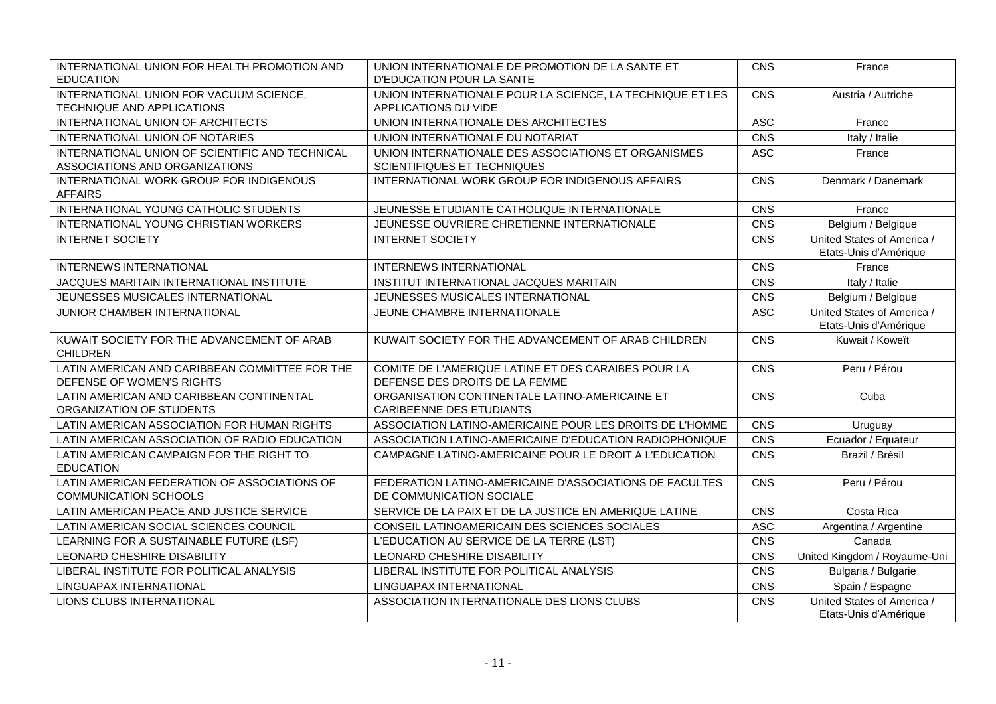| INTERNATIONAL UNION FOR HEALTH PROMOTION AND<br><b>EDUCATION</b>             | UNION INTERNATIONALE DE PROMOTION DE LA SANTE ET<br>D'EDUCATION POUR LA SANTE         | <b>CNS</b> | France                                              |
|------------------------------------------------------------------------------|---------------------------------------------------------------------------------------|------------|-----------------------------------------------------|
| INTERNATIONAL UNION FOR VACUUM SCIENCE,<br>TECHNIQUE AND APPLICATIONS        | UNION INTERNATIONALE POUR LA SCIENCE, LA TECHNIQUE ET LES<br>APPLICATIONS DU VIDE     | <b>CNS</b> | Austria / Autriche                                  |
| INTERNATIONAL UNION OF ARCHITECTS                                            | UNION INTERNATIONALE DES ARCHITECTES                                                  | <b>ASC</b> | France                                              |
| INTERNATIONAL UNION OF NOTARIES                                              | UNION INTERNATIONALE DU NOTARIAT                                                      | CNS        | Italy / Italie                                      |
| INTERNATIONAL UNION OF SCIENTIFIC AND TECHNICAL                              | UNION INTERNATIONALE DES ASSOCIATIONS ET ORGANISMES                                   | <b>ASC</b> | France                                              |
| ASSOCIATIONS AND ORGANIZATIONS                                               | SCIENTIFIQUES ET TECHNIQUES                                                           |            |                                                     |
| INTERNATIONAL WORK GROUP FOR INDIGENOUS<br><b>AFFAIRS</b>                    | INTERNATIONAL WORK GROUP FOR INDIGENOUS AFFAIRS                                       | <b>CNS</b> | Denmark / Danemark                                  |
| INTERNATIONAL YOUNG CATHOLIC STUDENTS                                        | JEUNESSE ETUDIANTE CATHOLIQUE INTERNATIONALE                                          | <b>CNS</b> | France                                              |
| INTERNATIONAL YOUNG CHRISTIAN WORKERS                                        | JEUNESSE OUVRIERE CHRETIENNE INTERNATIONALE                                           | CNS        | Belgium / Belgique                                  |
| <b>INTERNET SOCIETY</b>                                                      | <b>INTERNET SOCIETY</b>                                                               | <b>CNS</b> | United States of America /<br>Etats-Unis d'Amérique |
| <b>INTERNEWS INTERNATIONAL</b>                                               | INTERNEWS INTERNATIONAL                                                               | CNS        | France                                              |
| JACQUES MARITAIN INTERNATIONAL INSTITUTE                                     | INSTITUT INTERNATIONAL JACQUES MARITAIN                                               | CNS        | Italy / Italie                                      |
| JEUNESSES MUSICALES INTERNATIONAL                                            | JEUNESSES MUSICALES INTERNATIONAL                                                     | CNS        | Belgium / Belgique                                  |
| JUNIOR CHAMBER INTERNATIONAL                                                 | JEUNE CHAMBRE INTERNATIONALE                                                          | <b>ASC</b> | United States of America /<br>Etats-Unis d'Amérique |
| KUWAIT SOCIETY FOR THE ADVANCEMENT OF ARAB<br><b>CHILDREN</b>                | KUWAIT SOCIETY FOR THE ADVANCEMENT OF ARAB CHILDREN                                   | CNS        | Kuwait / Koweït                                     |
| LATIN AMERICAN AND CARIBBEAN COMMITTEE FOR THE<br>DEFENSE OF WOMEN'S RIGHTS  | COMITE DE L'AMERIQUE LATINE ET DES CARAIBES POUR LA<br>DEFENSE DES DROITS DE LA FEMME | <b>CNS</b> | Peru / Pérou                                        |
| LATIN AMERICAN AND CARIBBEAN CONTINENTAL<br>ORGANIZATION OF STUDENTS         | ORGANISATION CONTINENTALE LATINO-AMERICAINE ET<br><b>CARIBEENNE DES ETUDIANTS</b>     | <b>CNS</b> | Cuba                                                |
| LATIN AMERICAN ASSOCIATION FOR HUMAN RIGHTS                                  | ASSOCIATION LATINO-AMERICAINE POUR LES DROITS DE L'HOMME                              | CNS        | Uruguay                                             |
| LATIN AMERICAN ASSOCIATION OF RADIO EDUCATION                                | ASSOCIATION LATINO-AMERICAINE D'EDUCATION RADIOPHONIQUE                               | CNS        | Ecuador / Equateur                                  |
| LATIN AMERICAN CAMPAIGN FOR THE RIGHT TO<br><b>EDUCATION</b>                 | CAMPAGNE LATINO-AMERICAINE POUR LE DROIT A L'EDUCATION                                | <b>CNS</b> | Brazil / Brésil                                     |
| LATIN AMERICAN FEDERATION OF ASSOCIATIONS OF<br><b>COMMUNICATION SCHOOLS</b> | FEDERATION LATINO-AMERICAINE D'ASSOCIATIONS DE FACULTES<br>DE COMMUNICATION SOCIALE   | <b>CNS</b> | Peru / Pérou                                        |
| LATIN AMERICAN PEACE AND JUSTICE SERVICE                                     | SERVICE DE LA PAIX ET DE LA JUSTICE EN AMERIQUE LATINE                                | CNS        | Costa Rica                                          |
| LATIN AMERICAN SOCIAL SCIENCES COUNCIL                                       | CONSEIL LATINOAMERICAIN DES SCIENCES SOCIALES                                         | <b>ASC</b> | Argentina / Argentine                               |
| LEARNING FOR A SUSTAINABLE FUTURE (LSF)                                      | L'EDUCATION AU SERVICE DE LA TERRE (LST)                                              | <b>CNS</b> | Canada                                              |
| LEONARD CHESHIRE DISABILITY                                                  | LEONARD CHESHIRE DISABILITY                                                           | CNS        | United Kingdom / Royaume-Uni                        |
| LIBERAL INSTITUTE FOR POLITICAL ANALYSIS                                     | LIBERAL INSTITUTE FOR POLITICAL ANALYSIS                                              | <b>CNS</b> | Bulgaria / Bulgarie                                 |
| LINGUAPAX INTERNATIONAL                                                      | LINGUAPAX INTERNATIONAL                                                               | <b>CNS</b> | Spain / Espagne                                     |
| LIONS CLUBS INTERNATIONAL                                                    | ASSOCIATION INTERNATIONALE DES LIONS CLUBS                                            | CNS        | United States of America /<br>Etats-Unis d'Amérique |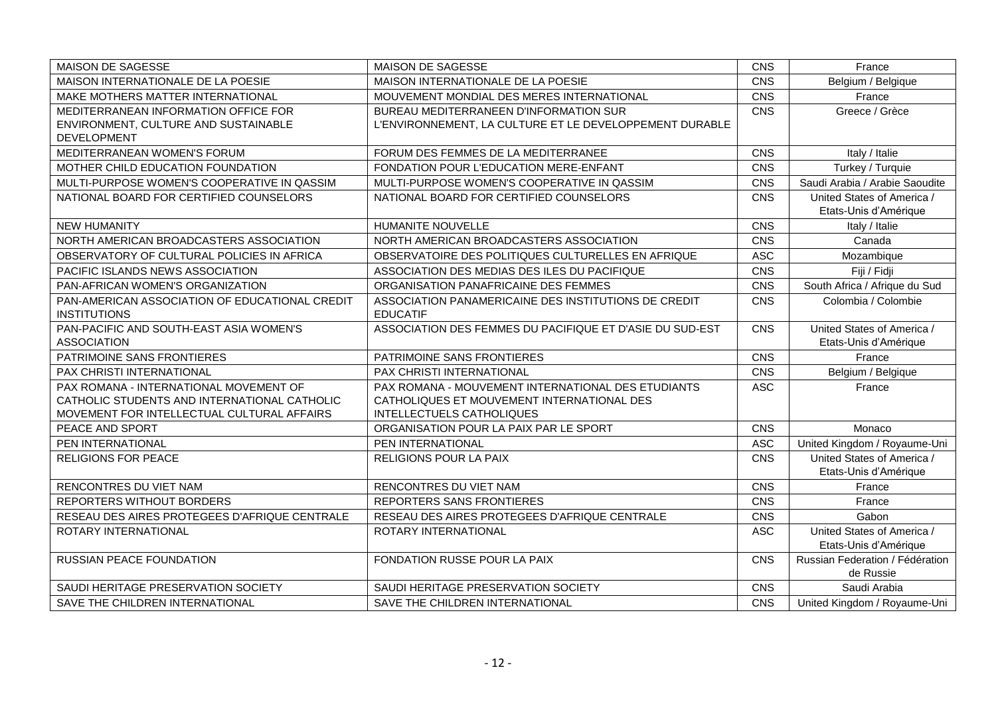| MAISON DE SAGESSE                              | MAISON DE SAGESSE                                        | CNS        | France                          |
|------------------------------------------------|----------------------------------------------------------|------------|---------------------------------|
| MAISON INTERNATIONALE DE LA POESIE             | MAISON INTERNATIONALE DE LA POESIE                       | CNS        | Belgium / Belgique              |
| MAKE MOTHERS MATTER INTERNATIONAL              | MOUVEMENT MONDIAL DES MERES INTERNATIONAL                | CNS        | France                          |
| MEDITERRANEAN INFORMATION OFFICE FOR           | BUREAU MEDITERRANEEN D'INFORMATION SUR                   | CNS        | Greece / Grèce                  |
| ENVIRONMENT, CULTURE AND SUSTAINABLE           | L'ENVIRONNEMENT, LA CULTURE ET LE DEVELOPPEMENT DURABLE  |            |                                 |
| <b>DEVELOPMENT</b>                             |                                                          |            |                                 |
| MEDITERRANEAN WOMEN'S FORUM                    | FORUM DES FEMMES DE LA MEDITERRANEE                      | CNS        | Italy / Italie                  |
| MOTHER CHILD EDUCATION FOUNDATION              | FONDATION POUR L'EDUCATION MERE-ENFANT                   | CNS        | Turkey / Turquie                |
| MULTI-PURPOSE WOMEN'S COOPERATIVE IN QASSIM    | MULTI-PURPOSE WOMEN'S COOPERATIVE IN QASSIM              | CNS        | Saudi Arabia / Arabie Saoudite  |
| NATIONAL BOARD FOR CERTIFIED COUNSELORS        | NATIONAL BOARD FOR CERTIFIED COUNSELORS                  | CNS        | United States of America /      |
|                                                |                                                          |            | Etats-Unis d'Amérique           |
| <b>NEW HUMANITY</b>                            | <b>HUMANITE NOUVELLE</b>                                 | CNS        | Italy / Italie                  |
| NORTH AMERICAN BROADCASTERS ASSOCIATION        | NORTH AMERICAN BROADCASTERS ASSOCIATION                  | CNS        | Canada                          |
| OBSERVATORY OF CULTURAL POLICIES IN AFRICA     | OBSERVATOIRE DES POLITIQUES CULTURELLES EN AFRIQUE       | <b>ASC</b> | Mozambique                      |
| PACIFIC ISLANDS NEWS ASSOCIATION               | ASSOCIATION DES MEDIAS DES ILES DU PACIFIQUE             | CNS        | Fiji / Fidji                    |
| PAN-AFRICAN WOMEN'S ORGANIZATION               | ORGANISATION PANAFRICAINE DES FEMMES                     | CNS        | South Africa / Afrique du Sud   |
| PAN-AMERICAN ASSOCIATION OF EDUCATIONAL CREDIT | ASSOCIATION PANAMERICAINE DES INSTITUTIONS DE CREDIT     | CNS        | Colombia / Colombie             |
| <b>INSTITUTIONS</b>                            | <b>EDUCATIF</b>                                          |            |                                 |
| PAN-PACIFIC AND SOUTH-EAST ASIA WOMEN'S        | ASSOCIATION DES FEMMES DU PACIFIQUE ET D'ASIE DU SUD-EST | CNS        | United States of America /      |
| <b>ASSOCIATION</b>                             |                                                          |            | Etats-Unis d'Amérique           |
| PATRIMOINE SANS FRONTIERES                     | PATRIMOINE SANS FRONTIERES                               | CNS        | France                          |
| PAX CHRISTI INTERNATIONAL                      | PAX CHRISTI INTERNATIONAL                                | CNS        | Belgium / Belgique              |
| PAX ROMANA - INTERNATIONAL MOVEMENT OF         | PAX ROMANA - MOUVEMENT INTERNATIONAL DES ETUDIANTS       | <b>ASC</b> | France                          |
| CATHOLIC STUDENTS AND INTERNATIONAL CATHOLIC   | CATHOLIQUES ET MOUVEMENT INTERNATIONAL DES               |            |                                 |
| MOVEMENT FOR INTELLECTUAL CULTURAL AFFAIRS     | INTELLECTUELS CATHOLIQUES                                |            |                                 |
| PEACE AND SPORT                                | ORGANISATION POUR LA PAIX PAR LE SPORT                   | CNS        | Monaco                          |
| PEN INTERNATIONAL                              | PEN INTERNATIONAL                                        | <b>ASC</b> | United Kingdom / Royaume-Uni    |
| <b>RELIGIONS FOR PEACE</b>                     | RELIGIONS POUR LA PAIX                                   | CNS        | United States of America /      |
|                                                |                                                          |            | Etats-Unis d'Amérique           |
| RENCONTRES DU VIET NAM                         | RENCONTRES DU VIET NAM                                   | CNS        | France                          |
| <b>REPORTERS WITHOUT BORDERS</b>               | REPORTERS SANS FRONTIERES                                | CNS        | France                          |
| RESEAU DES AIRES PROTEGEES D'AFRIQUE CENTRALE  | RESEAU DES AIRES PROTEGEES D'AFRIQUE CENTRALE            | CNS        | Gabon                           |
| ROTARY INTERNATIONAL                           | ROTARY INTERNATIONAL                                     | <b>ASC</b> | United States of America /      |
|                                                |                                                          |            | Etats-Unis d'Amérique           |
| <b>RUSSIAN PEACE FOUNDATION</b>                | FONDATION RUSSE POUR LA PAIX                             | CNS        | Russian Federation / Fédération |
|                                                |                                                          |            | de Russie                       |
| SAUDI HERITAGE PRESERVATION SOCIETY            | SAUDI HERITAGE PRESERVATION SOCIETY                      | CNS        | Saudi Arabia                    |
| SAVE THE CHILDREN INTERNATIONAL                | SAVE THE CHILDREN INTERNATIONAL                          | CNS        | United Kingdom / Royaume-Uni    |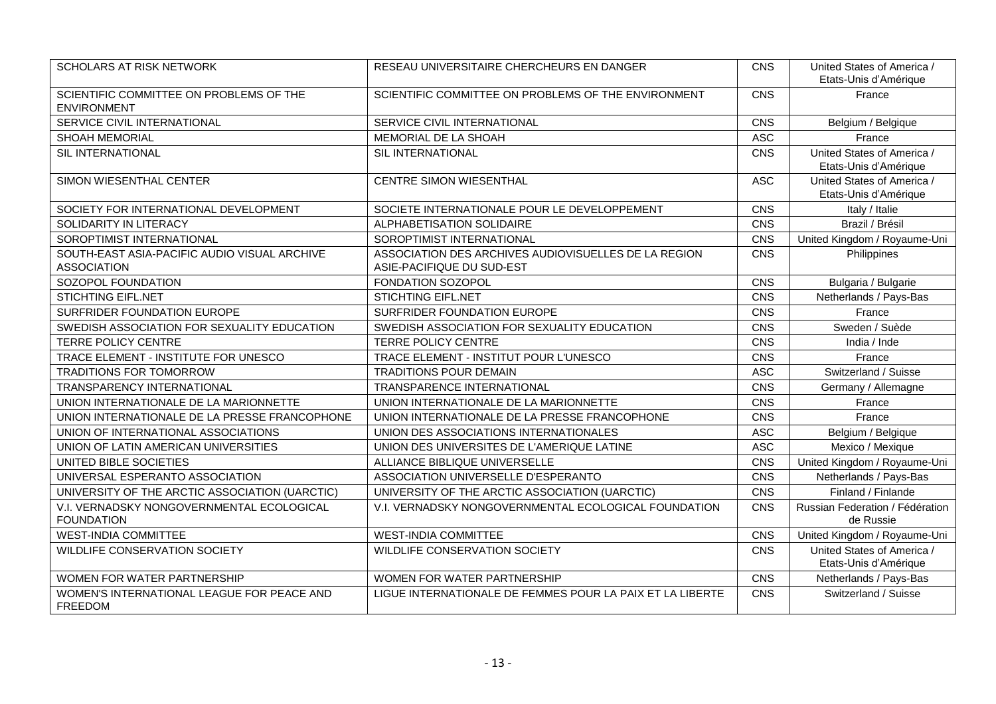| SCHOLARS AT RISK NETWORK                                           | RESEAU UNIVERSITAIRE CHERCHEURS EN DANGER                                         | CNS        | United States of America /<br>Etats-Unis d'Amérique |
|--------------------------------------------------------------------|-----------------------------------------------------------------------------------|------------|-----------------------------------------------------|
| SCIENTIFIC COMMITTEE ON PROBLEMS OF THE<br><b>ENVIRONMENT</b>      | SCIENTIFIC COMMITTEE ON PROBLEMS OF THE ENVIRONMENT                               | CNS        | France                                              |
| SERVICE CIVIL INTERNATIONAL                                        | SERVICE CIVIL INTERNATIONAL                                                       | CNS        | Belgium / Belgique                                  |
| <b>SHOAH MEMORIAL</b>                                              | MEMORIAL DE LA SHOAH                                                              | <b>ASC</b> | France                                              |
| SIL INTERNATIONAL                                                  | SIL INTERNATIONAL                                                                 | CNS        | United States of America /<br>Etats-Unis d'Amérique |
| SIMON WIESENTHAL CENTER                                            | CENTRE SIMON WIESENTHAL                                                           | <b>ASC</b> | United States of America /<br>Etats-Unis d'Amérique |
| SOCIETY FOR INTERNATIONAL DEVELOPMENT                              | SOCIETE INTERNATIONALE POUR LE DEVELOPPEMENT                                      | CNS        | Italy / Italie                                      |
| SOLIDARITY IN LITERACY                                             | ALPHABETISATION SOLIDAIRE                                                         | CNS        | Brazil / Brésil                                     |
| SOROPTIMIST INTERNATIONAL                                          | SOROPTIMIST INTERNATIONAL                                                         | CNS        | United Kingdom / Royaume-Uni                        |
| SOUTH-EAST ASIA-PACIFIC AUDIO VISUAL ARCHIVE<br><b>ASSOCIATION</b> | ASSOCIATION DES ARCHIVES AUDIOVISUELLES DE LA REGION<br>ASIE-PACIFIQUE DU SUD-EST | CNS        | Philippines                                         |
| SOZOPOL FOUNDATION                                                 | FONDATION SOZOPOL                                                                 | CNS        | Bulgaria / Bulgarie                                 |
| STICHTING EIFL.NET                                                 | <b>STICHTING EIFL.NET</b>                                                         | CNS        | Netherlands / Pays-Bas                              |
| SURFRIDER FOUNDATION EUROPE                                        | SURFRIDER FOUNDATION EUROPE                                                       | CNS        | France                                              |
| SWEDISH ASSOCIATION FOR SEXUALITY EDUCATION                        | SWEDISH ASSOCIATION FOR SEXUALITY EDUCATION                                       | CNS        | Sweden / Suède                                      |
| <b>TERRE POLICY CENTRE</b>                                         | <b>TERRE POLICY CENTRE</b>                                                        | CNS        | India / Inde                                        |
| TRACE ELEMENT - INSTITUTE FOR UNESCO                               | TRACE ELEMENT - INSTITUT POUR L'UNESCO                                            | CNS        | France                                              |
| TRADITIONS FOR TOMORROW                                            | <b>TRADITIONS POUR DEMAIN</b>                                                     | ASC        | Switzerland / Suisse                                |
| TRANSPARENCY INTERNATIONAL                                         | TRANSPARENCE INTERNATIONAL                                                        | CNS        | Germany / Allemagne                                 |
| UNION INTERNATIONALE DE LA MARIONNETTE                             | UNION INTERNATIONALE DE LA MARIONNETTE                                            | CNS        | France                                              |
| UNION INTERNATIONALE DE LA PRESSE FRANCOPHONE                      | UNION INTERNATIONALE DE LA PRESSE FRANCOPHONE                                     | CNS        | France                                              |
| UNION OF INTERNATIONAL ASSOCIATIONS                                | UNION DES ASSOCIATIONS INTERNATIONALES                                            | <b>ASC</b> | Belgium / Belgique                                  |
| UNION OF LATIN AMERICAN UNIVERSITIES                               | UNION DES UNIVERSITES DE L'AMERIQUE LATINE                                        | ASC        | Mexico / Mexique                                    |
| UNITED BIBLE SOCIETIES                                             | ALLIANCE BIBLIQUE UNIVERSELLE                                                     | CNS        | United Kingdom / Royaume-Uni                        |
| UNIVERSAL ESPERANTO ASSOCIATION                                    | ASSOCIATION UNIVERSELLE D'ESPERANTO                                               | CNS        | Netherlands / Pays-Bas                              |
| UNIVERSITY OF THE ARCTIC ASSOCIATION (UARCTIC)                     | UNIVERSITY OF THE ARCTIC ASSOCIATION (UARCTIC)                                    | CNS        | Finland / Finlande                                  |
| V.I. VERNADSKY NONGOVERNMENTAL ECOLOGICAL<br><b>FOUNDATION</b>     | V.I. VERNADSKY NONGOVERNMENTAL ECOLOGICAL FOUNDATION                              | CNS        | Russian Federation / Fédération<br>de Russie        |
| <b>WEST-INDIA COMMITTEE</b>                                        | <b>WEST-INDIA COMMITTEE</b>                                                       | CNS        | United Kingdom / Royaume-Uni                        |
| WILDLIFE CONSERVATION SOCIETY                                      | WILDLIFE CONSERVATION SOCIETY                                                     | CNS        | United States of America /<br>Etats-Unis d'Amérique |
| WOMEN FOR WATER PARTNERSHIP                                        | WOMEN FOR WATER PARTNERSHIP                                                       | CNS        | Netherlands / Pays-Bas                              |
| WOMEN'S INTERNATIONAL LEAGUE FOR PEACE AND<br><b>FREEDOM</b>       | LIGUE INTERNATIONALE DE FEMMES POUR LA PAIX ET LA LIBERTE                         | CNS        | Switzerland / Suisse                                |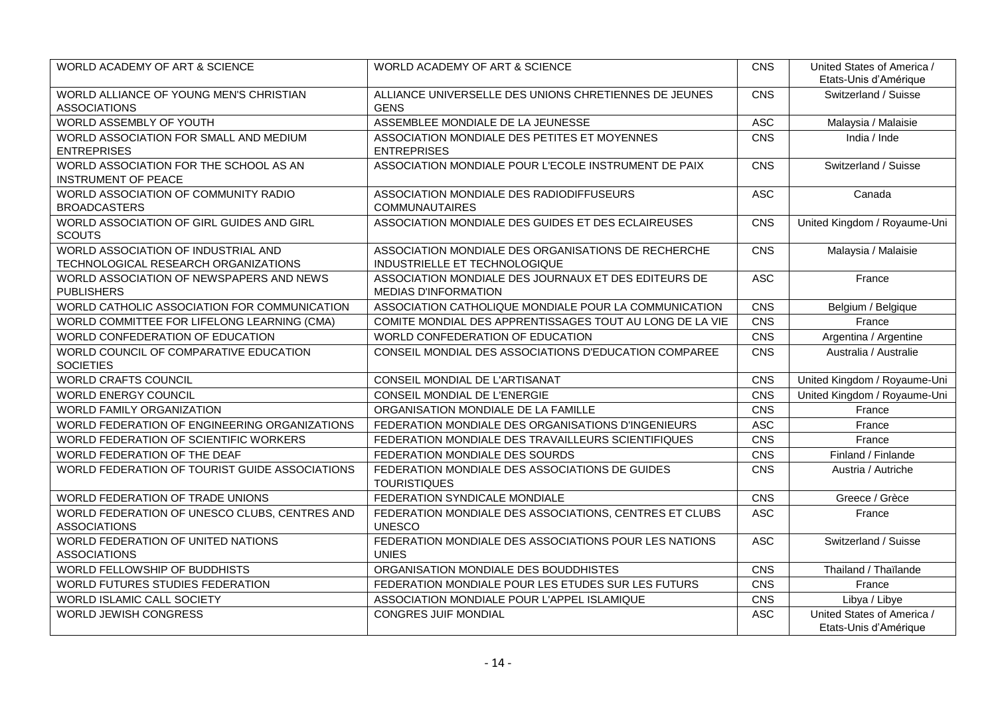| <b>WORLD ACADEMY OF ART &amp; SCIENCE</b>                                   | WORLD ACADEMY OF ART & SCIENCE                                                       | CNS        | United States of America /<br>Etats-Unis d'Amérique |
|-----------------------------------------------------------------------------|--------------------------------------------------------------------------------------|------------|-----------------------------------------------------|
| WORLD ALLIANCE OF YOUNG MEN'S CHRISTIAN<br><b>ASSOCIATIONS</b>              | ALLIANCE UNIVERSELLE DES UNIONS CHRETIENNES DE JEUNES<br><b>GENS</b>                 | CNS        | Switzerland / Suisse                                |
| WORLD ASSEMBLY OF YOUTH                                                     | ASSEMBLEE MONDIALE DE LA JEUNESSE                                                    | ASC        | Malaysia / Malaisie                                 |
| WORLD ASSOCIATION FOR SMALL AND MEDIUM<br><b>ENTREPRISES</b>                | ASSOCIATION MONDIALE DES PETITES ET MOYENNES<br><b>ENTREPRISES</b>                   | CNS        | India / Inde                                        |
| WORLD ASSOCIATION FOR THE SCHOOL AS AN<br><b>INSTRUMENT OF PEACE</b>        | ASSOCIATION MONDIALE POUR L'ECOLE INSTRUMENT DE PAIX                                 | CNS        | Switzerland / Suisse                                |
| WORLD ASSOCIATION OF COMMUNITY RADIO<br><b>BROADCASTERS</b>                 | ASSOCIATION MONDIALE DES RADIODIFFUSEURS<br><b>COMMUNAUTAIRES</b>                    | <b>ASC</b> | Canada                                              |
| WORLD ASSOCIATION OF GIRL GUIDES AND GIRL<br><b>SCOUTS</b>                  | ASSOCIATION MONDIALE DES GUIDES ET DES ECLAIREUSES                                   | CNS        | United Kingdom / Royaume-Uni                        |
| WORLD ASSOCIATION OF INDUSTRIAL AND<br>TECHNOLOGICAL RESEARCH ORGANIZATIONS | ASSOCIATION MONDIALE DES ORGANISATIONS DE RECHERCHE<br>INDUSTRIELLE ET TECHNOLOGIQUE | CNS        | Malaysia / Malaisie                                 |
| WORLD ASSOCIATION OF NEWSPAPERS AND NEWS<br><b>PUBLISHERS</b>               | ASSOCIATION MONDIALE DES JOURNAUX ET DES EDITEURS DE<br><b>MEDIAS D'INFORMATION</b>  | <b>ASC</b> | France                                              |
| WORLD CATHOLIC ASSOCIATION FOR COMMUNICATION                                | ASSOCIATION CATHOLIQUE MONDIALE POUR LA COMMUNICATION                                | CNS        | Belgium / Belgique                                  |
| WORLD COMMITTEE FOR LIFELONG LEARNING (CMA)                                 | COMITE MONDIAL DES APPRENTISSAGES TOUT AU LONG DE LA VIE                             | CNS        | France                                              |
| WORLD CONFEDERATION OF EDUCATION                                            | WORLD CONFEDERATION OF EDUCATION                                                     | CNS        | Argentina / Argentine                               |
| WORLD COUNCIL OF COMPARATIVE EDUCATION<br><b>SOCIETIES</b>                  | CONSEIL MONDIAL DES ASSOCIATIONS D'EDUCATION COMPAREE                                | CNS        | Australia / Australie                               |
| <b>WORLD CRAFTS COUNCIL</b>                                                 | CONSEIL MONDIAL DE L'ARTISANAT                                                       | CNS        | United Kingdom / Royaume-Uni                        |
| <b>WORLD ENERGY COUNCIL</b>                                                 | CONSEIL MONDIAL DE L'ENERGIE                                                         | CNS        | United Kingdom / Royaume-Uni                        |
| <b>WORLD FAMILY ORGANIZATION</b>                                            | ORGANISATION MONDIALE DE LA FAMILLE                                                  | CNS        | France                                              |
| WORLD FEDERATION OF ENGINEERING ORGANIZATIONS                               | FEDERATION MONDIALE DES ORGANISATIONS D'INGENIEURS                                   | <b>ASC</b> | France                                              |
| WORLD FEDERATION OF SCIENTIFIC WORKERS                                      | FEDERATION MONDIALE DES TRAVAILLEURS SCIENTIFIQUES                                   | CNS        | France                                              |
| WORLD FEDERATION OF THE DEAF                                                | FEDERATION MONDIALE DES SOURDS                                                       | CNS        | Finland / Finlande                                  |
| WORLD FEDERATION OF TOURIST GUIDE ASSOCIATIONS                              | FEDERATION MONDIALE DES ASSOCIATIONS DE GUIDES<br><b>TOURISTIQUES</b>                | CNS        | Austria / Autriche                                  |
| WORLD FEDERATION OF TRADE UNIONS                                            | FEDERATION SYNDICALE MONDIALE                                                        | CNS        | Greece / Grèce                                      |
| WORLD FEDERATION OF UNESCO CLUBS, CENTRES AND<br><b>ASSOCIATIONS</b>        | FEDERATION MONDIALE DES ASSOCIATIONS, CENTRES ET CLUBS<br><b>UNESCO</b>              | <b>ASC</b> | France                                              |
| WORLD FEDERATION OF UNITED NATIONS<br><b>ASSOCIATIONS</b>                   | FEDERATION MONDIALE DES ASSOCIATIONS POUR LES NATIONS<br><b>UNIES</b>                | <b>ASC</b> | Switzerland / Suisse                                |
| WORLD FELLOWSHIP OF BUDDHISTS                                               | ORGANISATION MONDIALE DES BOUDDHISTES                                                | CNS        | Thailand / Thaïlande                                |
| WORLD FUTURES STUDIES FEDERATION                                            | FEDERATION MONDIALE POUR LES ETUDES SUR LES FUTURS                                   | CNS        | France                                              |
| WORLD ISLAMIC CALL SOCIETY                                                  | ASSOCIATION MONDIALE POUR L'APPEL ISLAMIQUE                                          | CNS        | Libya / Libye                                       |
| <b>WORLD JEWISH CONGRESS</b>                                                | <b>CONGRES JUIF MONDIAL</b>                                                          | <b>ASC</b> | United States of America /<br>Etats-Unis d'Amérique |